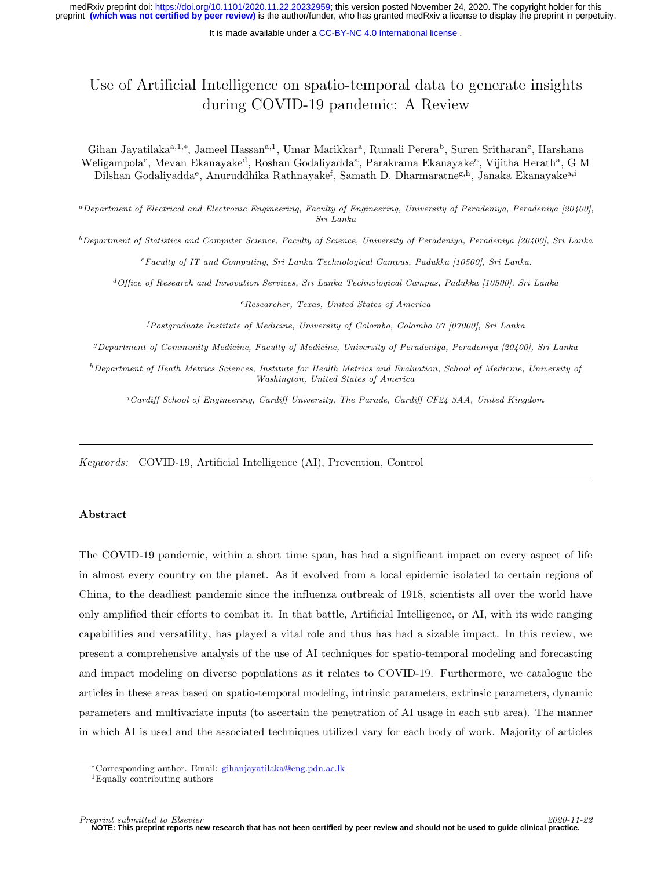# Use of Artificial Intelligence on spatio-temporal data to generate insights during COVID-19 pandemic: A Review

Gihan Jayatilaka<sup>a,1,∗</sup>, Jameel Hassan<sup>a,1</sup>, Umar Marikkar<sup>a</sup>, Rumali Perera<sup>b</sup>, Suren Sritharan<sup>c</sup>, Harshana Weligampola<sup>c</sup>, Mevan Ekanayake<sup>d</sup>, Roshan Godaliyadda<sup>a</sup>, Parakrama Ekanayake<sup>a</sup>, Vijitha Herath<sup>a</sup>, G M Dilshan Godaliyadda<sup>e</sup>, Anuruddhika Rathnayake<sup>f</sup>, Samath D. Dharmaratne<sup>g,h</sup>, Janaka Ekanayake<sup>a,i</sup>

<sup>a</sup>Department of Electrical and Electronic Engineering, Faculty of Engineering, University of Peradeniya, Peradeniya [20400], Sri Lanka

 $b$ Department of Statistics and Computer Science, Faculty of Science, University of Peradeniya, Peradeniya [20400], Sri Lanka

<sup>c</sup>Faculty of IT and Computing, Sri Lanka Technological Campus, Padukka [10500], Sri Lanka.

<sup>d</sup>Office of Research and Innovation Services, Sri Lanka Technological Campus, Padukka [10500], Sri Lanka

<sup>e</sup>Researcher, Texas, United States of America

<sup>f</sup>Postgraduate Institute of Medicine, University of Colombo, Colombo 07 [07000], Sri Lanka

<sup>g</sup>Department of Community Medicine, Faculty of Medicine, University of Peradeniya, Peradeniya [20400], Sri Lanka

 $h$ Department of Heath Metrics Sciences, Institute for Health Metrics and Evaluation, School of Medicine, University of Washington, United States of America

 $i$ Cardiff School of Engineering, Cardiff University, The Parade, Cardiff CF24 3AA, United Kingdom

Keywords: COVID-19, Artificial Intelligence (AI), Prevention, Control

#### Abstract

The COVID-19 pandemic, within a short time span, has had a significant impact on every aspect of life in almost every country on the planet. As it evolved from a local epidemic isolated to certain regions of China, to the deadliest pandemic since the influenza outbreak of 1918, scientists all over the world have only amplified their efforts to combat it. In that battle, Artificial Intelligence, or AI, with its wide ranging capabilities and versatility, has played a vital role and thus has had a sizable impact. In this review, we present a comprehensive analysis of the use of AI techniques for spatio-temporal modeling and forecasting and impact modeling on diverse populations as it relates to COVID-19. Furthermore, we catalogue the articles in these areas based on spatio-temporal modeling, intrinsic parameters, extrinsic parameters, dynamic parameters and multivariate inputs (to ascertain the penetration of AI usage in each sub area). The manner in which AI is used and the associated techniques utilized vary for each body of work. Majority of articles

<sup>∗</sup>Corresponding author. Email: [gihanjayatilaka@eng.pdn.ac.lk](mailto:gihanjayatilaka@eng.pdn.ac.lk)

<sup>1</sup>Equally contributing authors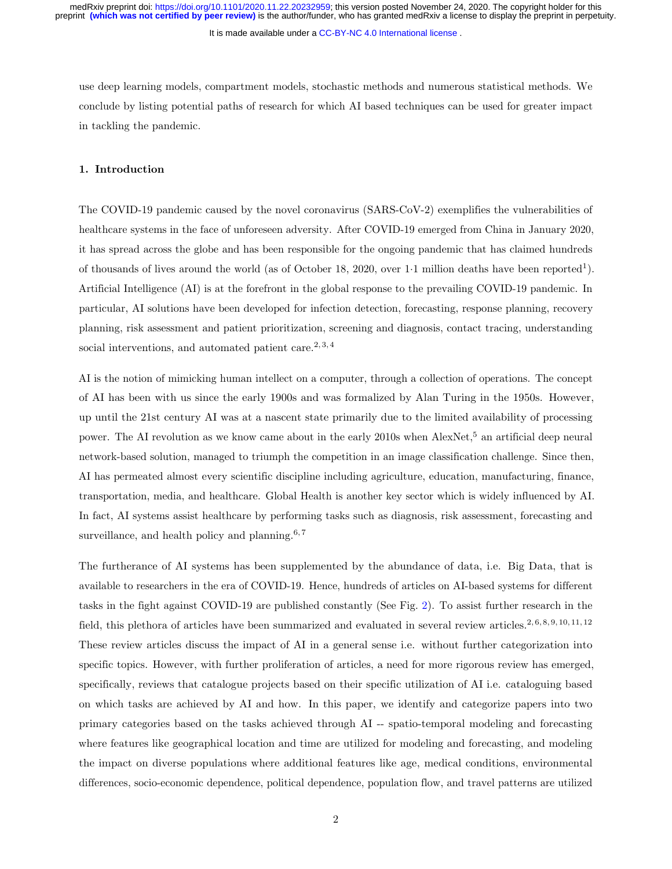It is made available under a [CC-BY-NC 4.0 International license](http://creativecommons.org/licenses/by-nc/4.0/) .

use deep learning models, compartment models, stochastic methods and numerous statistical methods. We conclude by listing potential paths of research for which AI based techniques can be used for greater impact in tackling the pandemic.

# 1. Introduction

The COVID-19 pandemic caused by the novel coronavirus (SARS-CoV-2) exemplifies the vulnerabilities of healthcare systems in the face of unforeseen adversity. After COVID-19 emerged from China in January 2020, it has spread across the globe and has been responsible for the ongoing pandemic that has claimed hundreds of thousands of lives around the world (as of October 18, 2020, over 1.1 million deaths have been reported<sup>1</sup>). Artificial Intelligence (AI) is at the forefront in the global response to the prevailing COVID-19 pandemic. In particular, AI solutions have been developed for infection detection, forecasting, response planning, recovery planning, risk assessment and patient prioritization, screening and diagnosis, contact tracing, understanding social interventions, and automated patient care.<sup>2, 3, 4</sup>

AI is the notion of mimicking human intellect on a computer, through a collection of operations. The concept of AI has been with us since the early 1900s and was formalized by Alan Turing in the 1950s. However, up until the 21st century AI was at a nascent state primarily due to the limited availability of processing power. The AI revolution as we know came about in the early 2010s when AlexNet,<sup>5</sup> an artificial deep neural network-based solution, managed to triumph the competition in an image classification challenge. Since then, AI has permeated almost every scientific discipline including agriculture, education, manufacturing, finance, transportation, media, and healthcare. Global Health is another key sector which is widely influenced by AI. In fact, AI systems assist healthcare by performing tasks such as diagnosis, risk assessment, forecasting and surveillance, and health policy and planning. $6,7$ 

The furtherance of AI systems has been supplemented by the abundance of data, i.e. Big Data, that is available to researchers in the era of COVID-19. Hence, hundreds of articles on AI-based systems for different tasks in the fight against COVID-19 are published constantly (See Fig. [2\)](#page-13-0). To assist further research in the field, this plethora of articles have been summarized and evaluated in several review articles.<sup>2, 6, 8, 9, 10, 11, 12</sup> These review articles discuss the impact of AI in a general sense i.e. without further categorization into specific topics. However, with further proliferation of articles, a need for more rigorous review has emerged, specifically, reviews that catalogue projects based on their specific utilization of AI i.e. cataloguing based on which tasks are achieved by AI and how. In this paper, we identify and categorize papers into two primary categories based on the tasks achieved through AI -- spatio-temporal modeling and forecasting where features like geographical location and time are utilized for modeling and forecasting, and modeling the impact on diverse populations where additional features like age, medical conditions, environmental differences, socio-economic dependence, political dependence, population flow, and travel patterns are utilized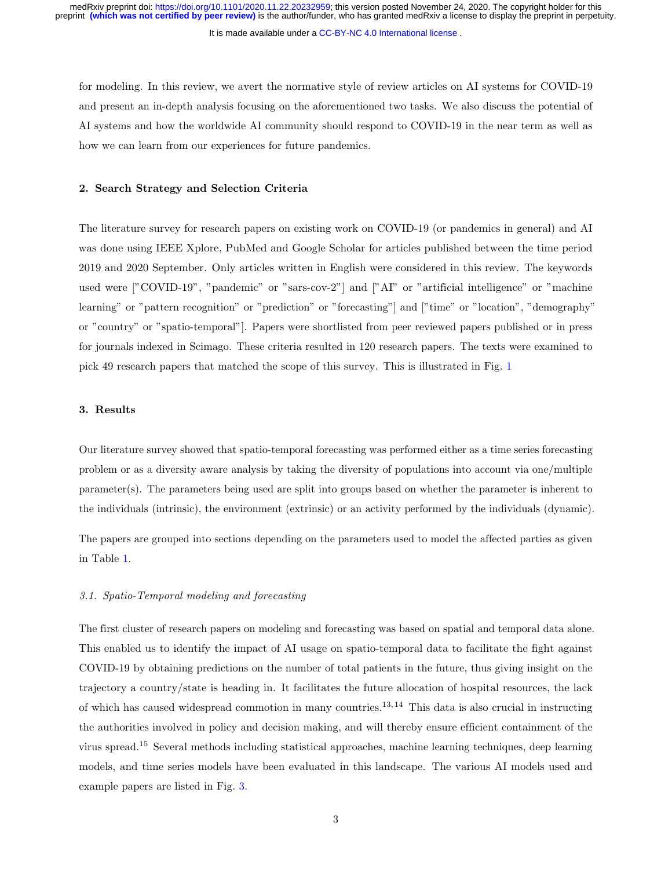It is made available under a [CC-BY-NC 4.0 International license](http://creativecommons.org/licenses/by-nc/4.0/) .

for modeling. In this review, we avert the normative style of review articles on AI systems for COVID-19 and present an in-depth analysis focusing on the aforementioned two tasks. We also discuss the potential of AI systems and how the worldwide AI community should respond to COVID-19 in the near term as well as how we can learn from our experiences for future pandemics.

## 2. Search Strategy and Selection Criteria

The literature survey for research papers on existing work on COVID-19 (or pandemics in general) and AI was done using IEEE Xplore, PubMed and Google Scholar for articles published between the time period 2019 and 2020 September. Only articles written in English were considered in this review. The keywords used were ["COVID-19", "pandemic" or "sars-cov-2"] and ["AI" or "artificial intelligence" or "machine" learning" or "pattern recognition" or "prediction" or "forecasting"] and ["time" or "location", "demography" or "country" or "spatio-temporal"]. Papers were shortlisted from peer reviewed papers published or in press for journals indexed in Scimago. These criteria resulted in 120 research papers. The texts were examined to pick 49 research papers that matched the scope of this survey. This is illustrated in Fig. [1](#page-12-0)

# 3. Results

Our literature survey showed that spatio-temporal forecasting was performed either as a time series forecasting problem or as a diversity aware analysis by taking the diversity of populations into account via one/multiple parameter(s). The parameters being used are split into groups based on whether the parameter is inherent to the individuals (intrinsic), the environment (extrinsic) or an activity performed by the individuals (dynamic).

The papers are grouped into sections depending on the parameters used to model the affected parties as given in Table [1.](#page-16-0)

# <span id="page-2-0"></span>3.1. Spatio-Temporal modeling and forecasting

The first cluster of research papers on modeling and forecasting was based on spatial and temporal data alone. This enabled us to identify the impact of AI usage on spatio-temporal data to facilitate the fight against COVID-19 by obtaining predictions on the number of total patients in the future, thus giving insight on the trajectory a country/state is heading in. It facilitates the future allocation of hospital resources, the lack of which has caused widespread commotion in many countries.<sup>13, 14</sup> This data is also crucial in instructing the authorities involved in policy and decision making, and will thereby ensure efficient containment of the virus spread.<sup>15</sup> Several methods including statistical approaches, machine learning techniques, deep learning models, and time series models have been evaluated in this landscape. The various AI models used and example papers are listed in Fig. [3.](#page-14-0)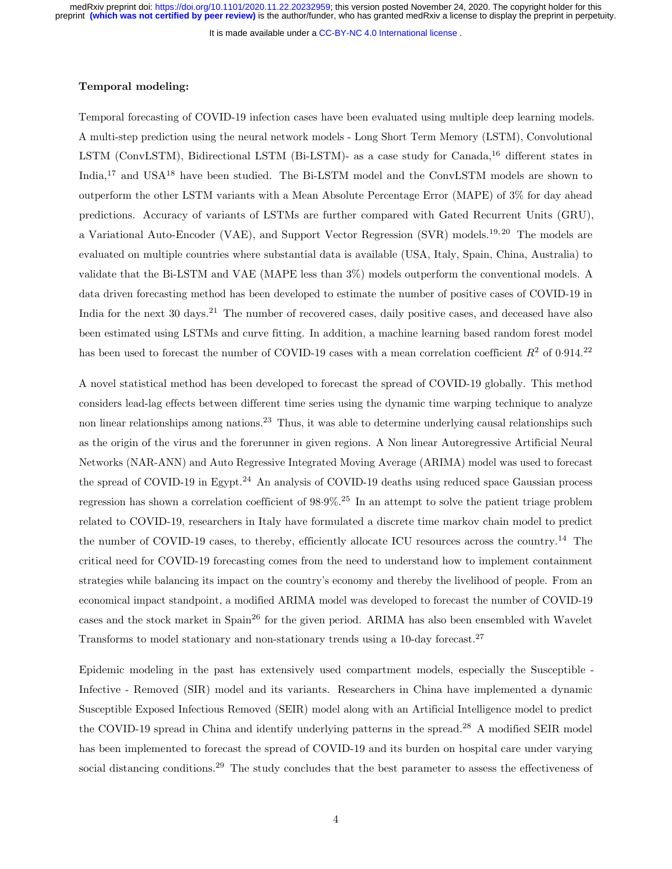It is made available under a [CC-BY-NC 4.0 International license](http://creativecommons.org/licenses/by-nc/4.0/) .

# Temporal modeling:

Temporal forecasting of COVID-19 infection cases have been evaluated using multiple deep learning models. A multi-step prediction using the neural network models - Long Short Term Memory (LSTM), Convolutional LSTM (ConvLSTM), Bidirectional LSTM (Bi-LSTM)- as a case study for Canada,<sup>16</sup> different states in India,<sup>17</sup> and USA<sup>18</sup> have been studied. The Bi-LSTM model and the ConvLSTM models are shown to outperform the other LSTM variants with a Mean Absolute Percentage Error (MAPE) of 3% for day ahead predictions. Accuracy of variants of LSTMs are further compared with Gated Recurrent Units (GRU), a Variational Auto-Encoder (VAE), and Support Vector Regression (SVR) models.19, 20 The models are evaluated on multiple countries where substantial data is available (USA, Italy, Spain, China, Australia) to validate that the Bi-LSTM and VAE (MAPE less than 3%) models outperform the conventional models. A data driven forecasting method has been developed to estimate the number of positive cases of COVID-19 in India for the next 30 days.<sup>21</sup> The number of recovered cases, daily positive cases, and deceased have also been estimated using LSTMs and curve fitting. In addition, a machine learning based random forest model has been used to forecast the number of COVID-19 cases with a mean correlation coefficient  $R^2$  of 0.914.<sup>22</sup>

A novel statistical method has been developed to forecast the spread of COVID-19 globally. This method considers lead-lag effects between different time series using the dynamic time warping technique to analyze non linear relationships among nations.<sup>23</sup> Thus, it was able to determine underlying causal relationships such as the origin of the virus and the forerunner in given regions. A Non linear Autoregressive Artificial Neural Networks (NAR-ANN) and Auto Regressive Integrated Moving Average (ARIMA) model was used to forecast the spread of COVID-19 in Egypt.<sup>24</sup> An analysis of COVID-19 deaths using reduced space Gaussian process regression has shown a correlation coefficient of 98·9%.<sup>25</sup> In an attempt to solve the patient triage problem related to COVID-19, researchers in Italy have formulated a discrete time markov chain model to predict the number of COVID-19 cases, to thereby, efficiently allocate ICU resources across the country.<sup>14</sup> The critical need for COVID-19 forecasting comes from the need to understand how to implement containment strategies while balancing its impact on the country's economy and thereby the livelihood of people. From an economical impact standpoint, a modified ARIMA model was developed to forecast the number of COVID-19 cases and the stock market in Spain<sup>26</sup> for the given period. ARIMA has also been ensembled with Wavelet Transforms to model stationary and non-stationary trends using a 10-day forecast.<sup>27</sup>

Epidemic modeling in the past has extensively used compartment models, especially the Susceptible - Infective - Removed (SIR) model and its variants. Researchers in China have implemented a dynamic Susceptible Exposed Infectious Removed (SEIR) model along with an Artificial Intelligence model to predict the COVID-19 spread in China and identify underlying patterns in the spread.<sup>28</sup> A modified SEIR model has been implemented to forecast the spread of COVID-19 and its burden on hospital care under varying social distancing conditions.<sup>29</sup> The study concludes that the best parameter to assess the effectiveness of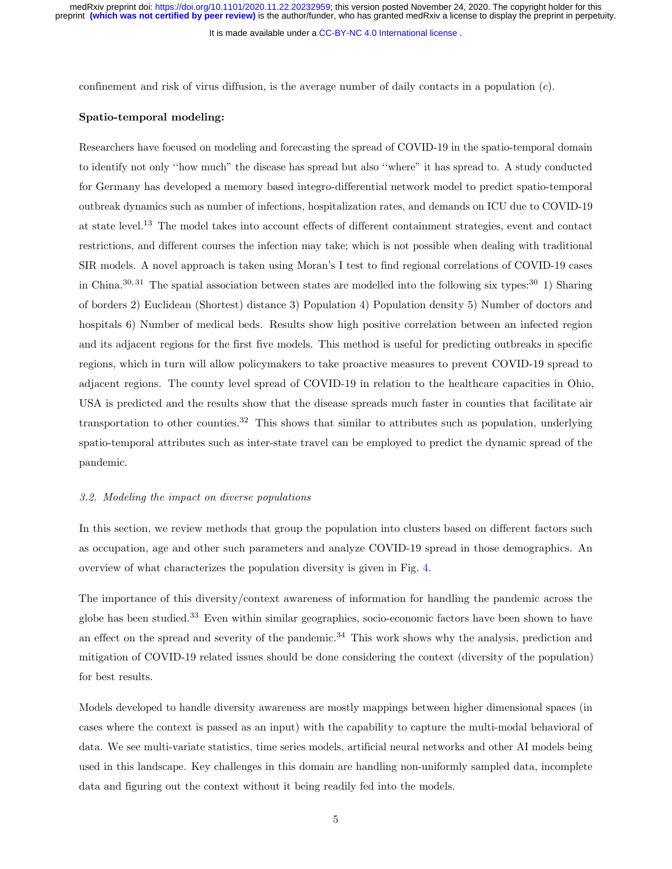It is made available under a [CC-BY-NC 4.0 International license](http://creativecommons.org/licenses/by-nc/4.0/) .

confinement and risk of virus diffusion, is the average number of daily contacts in a population  $(c)$ .

# Spatio-temporal modeling:

Researchers have focused on modeling and forecasting the spread of COVID-19 in the spatio-temporal domain to identify not only ''how much" the disease has spread but also ''where" it has spread to. A study conducted for Germany has developed a memory based integro-differential network model to predict spatio-temporal outbreak dynamics such as number of infections, hospitalization rates, and demands on ICU due to COVID-19 at state level.<sup>13</sup> The model takes into account effects of different containment strategies, event and contact restrictions, and different courses the infection may take; which is not possible when dealing with traditional SIR models. A novel approach is taken using Moran's I test to find regional correlations of COVID-19 cases in China.<sup>30, 31</sup> The spatial association between states are modelled into the following six types:<sup>30</sup> 1) Sharing of borders 2) Euclidean (Shortest) distance 3) Population 4) Population density 5) Number of doctors and hospitals 6) Number of medical beds. Results show high positive correlation between an infected region and its adjacent regions for the first five models. This method is useful for predicting outbreaks in specific regions, which in turn will allow policymakers to take proactive measures to prevent COVID-19 spread to adjacent regions. The county level spread of COVID-19 in relation to the healthcare capacities in Ohio, USA is predicted and the results show that the disease spreads much faster in counties that facilitate air transportation to other counties.<sup>32</sup> This shows that similar to attributes such as population, underlying spatio-temporal attributes such as inter-state travel can be employed to predict the dynamic spread of the pandemic.

#### <span id="page-4-0"></span>3.2. Modeling the impact on diverse populations

In this section, we review methods that group the population into clusters based on different factors such as occupation, age and other such parameters and analyze COVID-19 spread in those demographics. An overview of what characterizes the population diversity is given in Fig. [4.](#page-15-0)

The importance of this diversity/context awareness of information for handling the pandemic across the globe has been studied.<sup>33</sup> Even within similar geographies, socio-economic factors have been shown to have an effect on the spread and severity of the pandemic.<sup>34</sup> This work shows why the analysis, prediction and mitigation of COVID-19 related issues should be done considering the context (diversity of the population) for best results.

Models developed to handle diversity awareness are mostly mappings between higher dimensional spaces (in cases where the context is passed as an input) with the capability to capture the multi-modal behavioral of data. We see multi-variate statistics, time series models, artificial neural networks and other AI models being used in this landscape. Key challenges in this domain are handling non-uniformly sampled data, incomplete data and figuring out the context without it being readily fed into the models.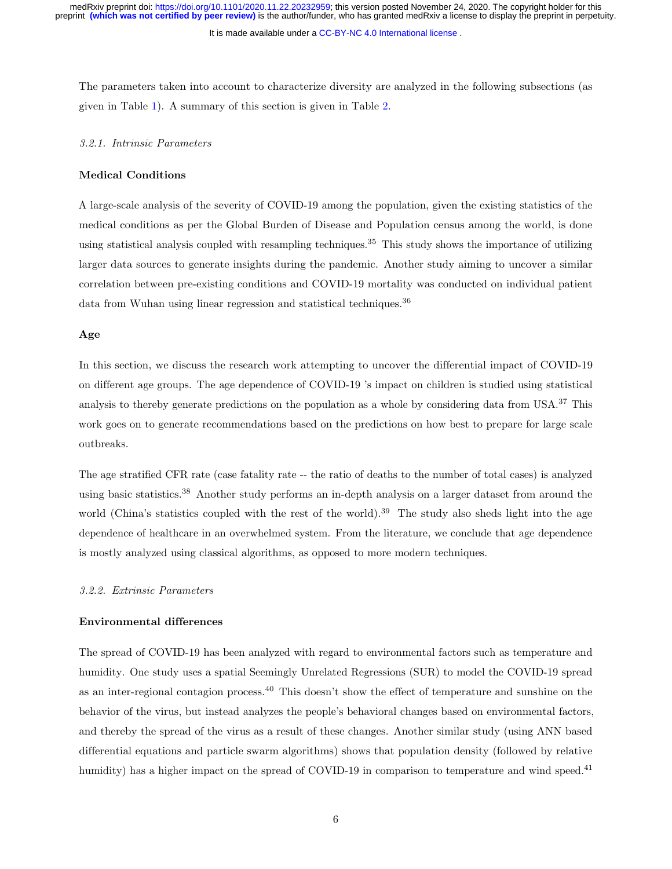It is made available under a [CC-BY-NC 4.0 International license](http://creativecommons.org/licenses/by-nc/4.0/) .

The parameters taken into account to characterize diversity are analyzed in the following subsections (as given in Table [1\)](#page-16-0). A summary of this section is given in Table [2.](#page-17-0)

# <span id="page-5-0"></span>3.2.1. Intrinsic Parameters

# Medical Conditions

A large-scale analysis of the severity of COVID-19 among the population, given the existing statistics of the medical conditions as per the Global Burden of Disease and Population census among the world, is done using statistical analysis coupled with resampling techniques.<sup>35</sup> This study shows the importance of utilizing larger data sources to generate insights during the pandemic. Another study aiming to uncover a similar correlation between pre-existing conditions and COVID-19 mortality was conducted on individual patient data from Wuhan using linear regression and statistical techniques.<sup>36</sup>

## Age

In this section, we discuss the research work attempting to uncover the differential impact of COVID-19 on different age groups. The age dependence of COVID-19 's impact on children is studied using statistical analysis to thereby generate predictions on the population as a whole by considering data from USA.<sup>37</sup> This work goes on to generate recommendations based on the predictions on how best to prepare for large scale outbreaks.

The age stratified CFR rate (case fatality rate -- the ratio of deaths to the number of total cases) is analyzed using basic statistics.<sup>38</sup> Another study performs an in-depth analysis on a larger dataset from around the world (China's statistics coupled with the rest of the world).<sup>39</sup> The study also sheds light into the age dependence of healthcare in an overwhelmed system. From the literature, we conclude that age dependence is mostly analyzed using classical algorithms, as opposed to more modern techniques.

# <span id="page-5-1"></span>3.2.2. Extrinsic Parameters

#### Environmental differences

The spread of COVID-19 has been analyzed with regard to environmental factors such as temperature and humidity. One study uses a spatial Seemingly Unrelated Regressions (SUR) to model the COVID-19 spread as an inter-regional contagion process.<sup>40</sup> This doesn't show the effect of temperature and sunshine on the behavior of the virus, but instead analyzes the people's behavioral changes based on environmental factors, and thereby the spread of the virus as a result of these changes. Another similar study (using ANN based differential equations and particle swarm algorithms) shows that population density (followed by relative humidity) has a higher impact on the spread of COVID-19 in comparison to temperature and wind speed.<sup>41</sup>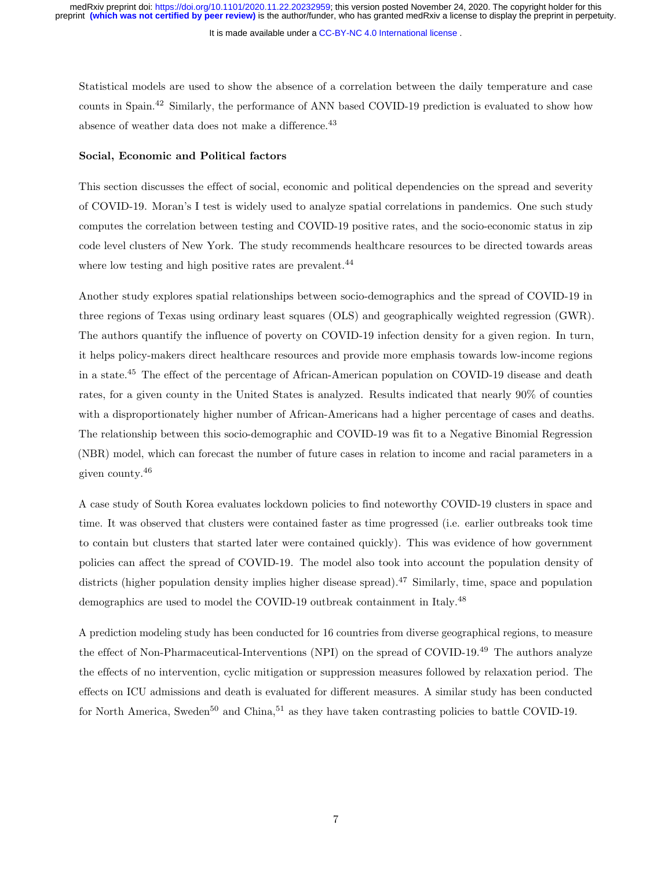It is made available under a [CC-BY-NC 4.0 International license](http://creativecommons.org/licenses/by-nc/4.0/) .

Statistical models are used to show the absence of a correlation between the daily temperature and case counts in Spain.<sup>42</sup> Similarly, the performance of ANN based COVID-19 prediction is evaluated to show how absence of weather data does not make a difference.<sup>43</sup>

#### Social, Economic and Political factors

This section discusses the effect of social, economic and political dependencies on the spread and severity of COVID-19. Moran's I test is widely used to analyze spatial correlations in pandemics. One such study computes the correlation between testing and COVID-19 positive rates, and the socio-economic status in zip code level clusters of New York. The study recommends healthcare resources to be directed towards areas where low testing and high positive rates are prevalent.<sup>44</sup>

Another study explores spatial relationships between socio-demographics and the spread of COVID-19 in three regions of Texas using ordinary least squares (OLS) and geographically weighted regression (GWR). The authors quantify the influence of poverty on COVID-19 infection density for a given region. In turn, it helps policy-makers direct healthcare resources and provide more emphasis towards low-income regions in a state.<sup>45</sup> The effect of the percentage of African-American population on COVID-19 disease and death rates, for a given county in the United States is analyzed. Results indicated that nearly 90% of counties with a disproportionately higher number of African-Americans had a higher percentage of cases and deaths. The relationship between this socio-demographic and COVID-19 was fit to a Negative Binomial Regression (NBR) model, which can forecast the number of future cases in relation to income and racial parameters in a given county.<sup>46</sup>

A case study of South Korea evaluates lockdown policies to find noteworthy COVID-19 clusters in space and time. It was observed that clusters were contained faster as time progressed (i.e. earlier outbreaks took time to contain but clusters that started later were contained quickly). This was evidence of how government policies can affect the spread of COVID-19. The model also took into account the population density of districts (higher population density implies higher disease spread).<sup>47</sup> Similarly, time, space and population demographics are used to model the COVID-19 outbreak containment in Italy.<sup>48</sup>

A prediction modeling study has been conducted for 16 countries from diverse geographical regions, to measure the effect of Non-Pharmaceutical-Interventions (NPI) on the spread of COVID-19.<sup>49</sup> The authors analyze the effects of no intervention, cyclic mitigation or suppression measures followed by relaxation period. The effects on ICU admissions and death is evaluated for different measures. A similar study has been conducted for North America, Sweden<sup>50</sup> and China,<sup>51</sup> as they have taken contrasting policies to battle COVID-19.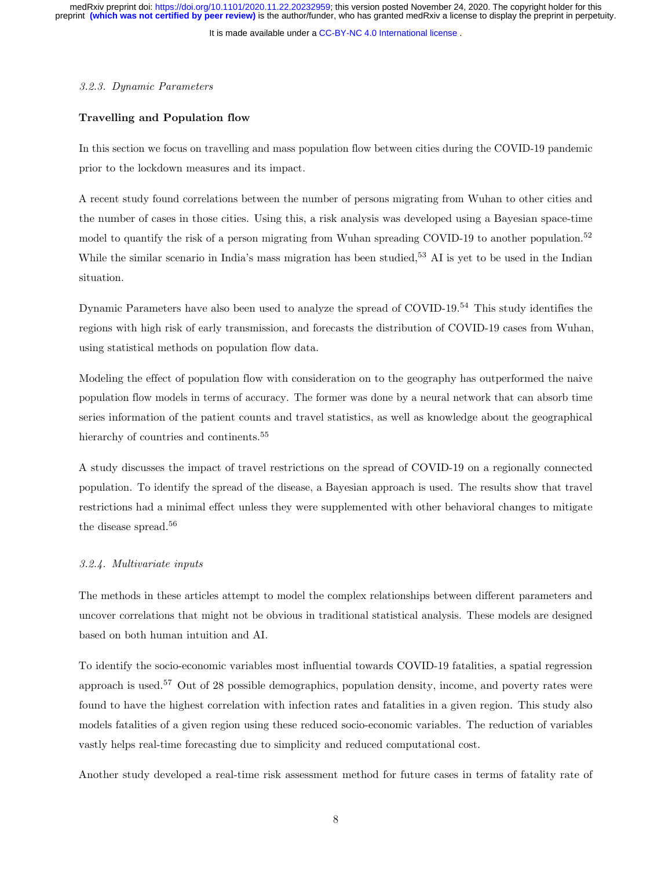It is made available under a [CC-BY-NC 4.0 International license](http://creativecommons.org/licenses/by-nc/4.0/) .

#### <span id="page-7-0"></span>3.2.3. Dynamic Parameters

# Travelling and Population flow

In this section we focus on travelling and mass population flow between cities during the COVID-19 pandemic prior to the lockdown measures and its impact.

A recent study found correlations between the number of persons migrating from Wuhan to other cities and the number of cases in those cities. Using this, a risk analysis was developed using a Bayesian space-time model to quantify the risk of a person migrating from Wuhan spreading COVID-19 to another population.<sup>52</sup> While the similar scenario in India's mass migration has been studied,<sup>53</sup> AI is yet to be used in the Indian situation.

Dynamic Parameters have also been used to analyze the spread of COVID-19.<sup>54</sup> This study identifies the regions with high risk of early transmission, and forecasts the distribution of COVID-19 cases from Wuhan, using statistical methods on population flow data.

Modeling the effect of population flow with consideration on to the geography has outperformed the naive population flow models in terms of accuracy. The former was done by a neural network that can absorb time series information of the patient counts and travel statistics, as well as knowledge about the geographical hierarchy of countries and continents.<sup>55</sup>

A study discusses the impact of travel restrictions on the spread of COVID-19 on a regionally connected population. To identify the spread of the disease, a Bayesian approach is used. The results show that travel restrictions had a minimal effect unless they were supplemented with other behavioral changes to mitigate the disease spread.<sup>56</sup>

#### <span id="page-7-1"></span>3.2.4. Multivariate inputs

The methods in these articles attempt to model the complex relationships between different parameters and uncover correlations that might not be obvious in traditional statistical analysis. These models are designed based on both human intuition and AI.

To identify the socio-economic variables most influential towards COVID-19 fatalities, a spatial regression approach is used.<sup>57</sup> Out of 28 possible demographics, population density, income, and poverty rates were found to have the highest correlation with infection rates and fatalities in a given region. This study also models fatalities of a given region using these reduced socio-economic variables. The reduction of variables vastly helps real-time forecasting due to simplicity and reduced computational cost.

Another study developed a real-time risk assessment method for future cases in terms of fatality rate of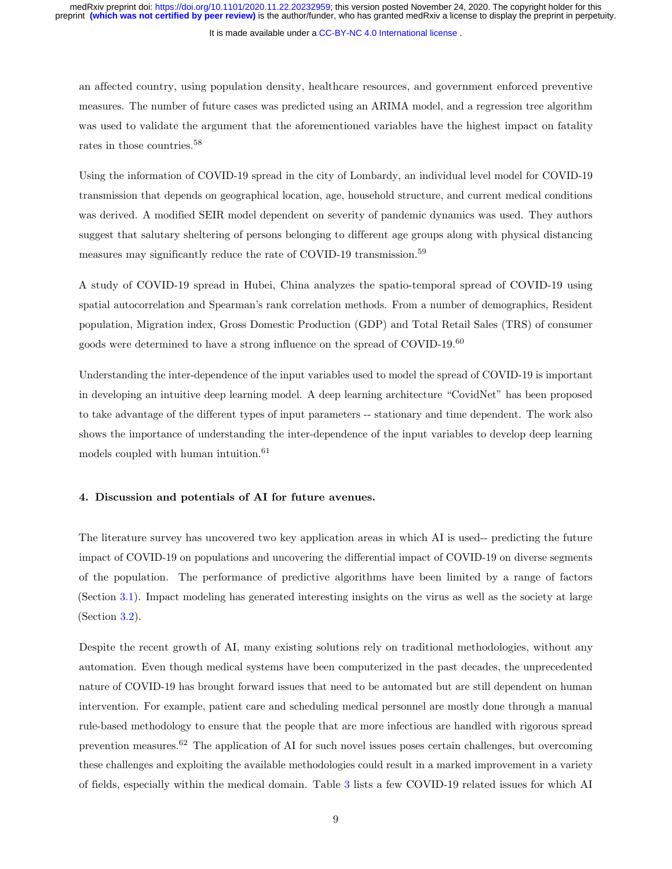It is made available under a [CC-BY-NC 4.0 International license](http://creativecommons.org/licenses/by-nc/4.0/) .

an affected country, using population density, healthcare resources, and government enforced preventive measures. The number of future cases was predicted using an ARIMA model, and a regression tree algorithm was used to validate the argument that the aforementioned variables have the highest impact on fatality rates in those countries.<sup>58</sup>

Using the information of COVID-19 spread in the city of Lombardy, an individual level model for COVID-19 transmission that depends on geographical location, age, household structure, and current medical conditions was derived. A modified SEIR model dependent on severity of pandemic dynamics was used. They authors suggest that salutary sheltering of persons belonging to different age groups along with physical distancing measures may significantly reduce the rate of COVID-19 transmission.<sup>59</sup>

A study of COVID-19 spread in Hubei, China analyzes the spatio-temporal spread of COVID-19 using spatial autocorrelation and Spearman's rank correlation methods. From a number of demographics, Resident population, Migration index, Gross Domestic Production (GDP) and Total Retail Sales (TRS) of consumer goods were determined to have a strong influence on the spread of COVID-19.<sup>60</sup>

Understanding the inter-dependence of the input variables used to model the spread of COVID-19 is important in developing an intuitive deep learning model. A deep learning architecture "CovidNet" has been proposed to take advantage of the different types of input parameters -- stationary and time dependent. The work also shows the importance of understanding the inter-dependence of the input variables to develop deep learning models coupled with human intuition. $61$ 

#### <span id="page-8-0"></span>4. Discussion and potentials of AI for future avenues.

The literature survey has uncovered two key application areas in which AI is used-- predicting the future impact of COVID-19 on populations and uncovering the differential impact of COVID-19 on diverse segments of the population. The performance of predictive algorithms have been limited by a range of factors (Section [3.1\)](#page-2-0). Impact modeling has generated interesting insights on the virus as well as the society at large (Section [3.2\)](#page-4-0).

Despite the recent growth of AI, many existing solutions rely on traditional methodologies, without any automation. Even though medical systems have been computerized in the past decades, the unprecedented nature of COVID-19 has brought forward issues that need to be automated but are still dependent on human intervention. For example, patient care and scheduling medical personnel are mostly done through a manual rule-based methodology to ensure that the people that are more infectious are handled with rigorous spread prevention measures.<sup>62</sup> The application of AI for such novel issues poses certain challenges, but overcoming these challenges and exploiting the available methodologies could result in a marked improvement in a variety of fields, especially within the medical domain. Table [3](#page-20-0) lists a few COVID-19 related issues for which AI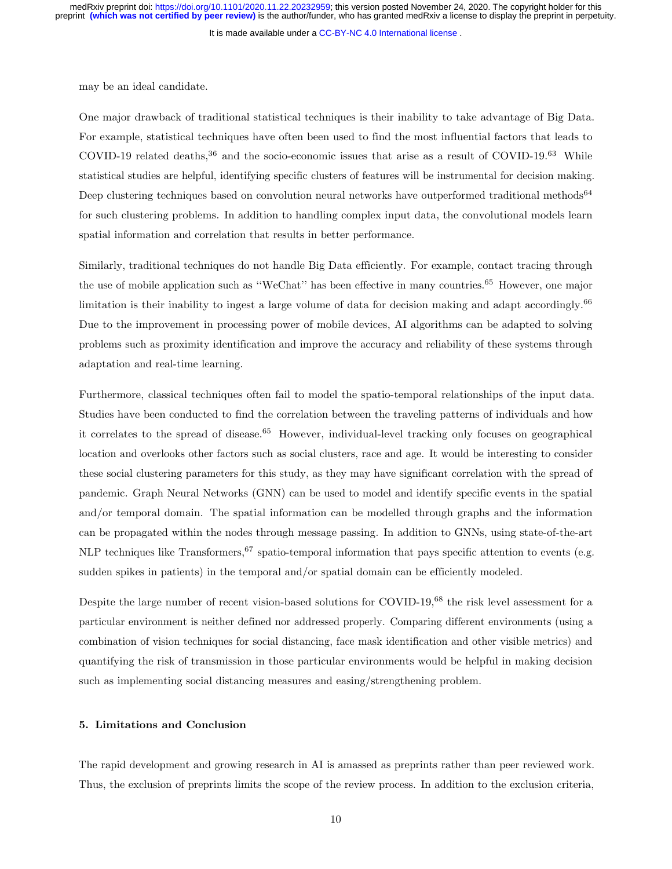It is made available under a [CC-BY-NC 4.0 International license](http://creativecommons.org/licenses/by-nc/4.0/) .

may be an ideal candidate.

One major drawback of traditional statistical techniques is their inability to take advantage of Big Data. For example, statistical techniques have often been used to find the most influential factors that leads to COVID-19 related deaths,<sup>36</sup> and the socio-economic issues that arise as a result of COVID-19.<sup>63</sup> While statistical studies are helpful, identifying specific clusters of features will be instrumental for decision making. Deep clustering techniques based on convolution neural networks have outperformed traditional methods<sup>64</sup> for such clustering problems. In addition to handling complex input data, the convolutional models learn spatial information and correlation that results in better performance.

Similarly, traditional techniques do not handle Big Data efficiently. For example, contact tracing through the use of mobile application such as ''WeChat'' has been effective in many countries.<sup>65</sup> However, one major limitation is their inability to ingest a large volume of data for decision making and adapt accordingly.<sup>66</sup> Due to the improvement in processing power of mobile devices, AI algorithms can be adapted to solving problems such as proximity identification and improve the accuracy and reliability of these systems through adaptation and real-time learning.

Furthermore, classical techniques often fail to model the spatio-temporal relationships of the input data. Studies have been conducted to find the correlation between the traveling patterns of individuals and how it correlates to the spread of disease.<sup>65</sup> However, individual-level tracking only focuses on geographical location and overlooks other factors such as social clusters, race and age. It would be interesting to consider these social clustering parameters for this study, as they may have significant correlation with the spread of pandemic. Graph Neural Networks (GNN) can be used to model and identify specific events in the spatial and/or temporal domain. The spatial information can be modelled through graphs and the information can be propagated within the nodes through message passing. In addition to GNNs, using state-of-the-art NLP techniques like Transformers,  $67$  spatio-temporal information that pays specific attention to events (e.g. sudden spikes in patients) in the temporal and/or spatial domain can be efficiently modeled.

Despite the large number of recent vision-based solutions for COVID-19,<sup>68</sup> the risk level assessment for a particular environment is neither defined nor addressed properly. Comparing different environments (using a combination of vision techniques for social distancing, face mask identification and other visible metrics) and quantifying the risk of transmission in those particular environments would be helpful in making decision such as implementing social distancing measures and easing/strengthening problem.

# 5. Limitations and Conclusion

The rapid development and growing research in AI is amassed as preprints rather than peer reviewed work. Thus, the exclusion of preprints limits the scope of the review process. In addition to the exclusion criteria,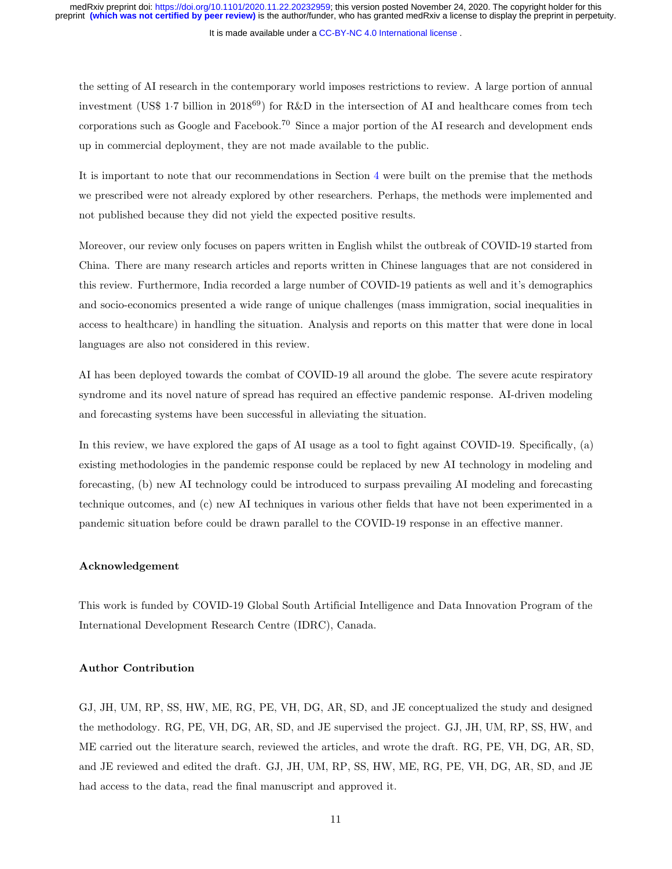It is made available under a [CC-BY-NC 4.0 International license](http://creativecommons.org/licenses/by-nc/4.0/) .

the setting of AI research in the contemporary world imposes restrictions to review. A large portion of annual investment (US\$ 1.7 billion in 2018<sup>69</sup>) for R&D in the intersection of AI and healthcare comes from tech corporations such as Google and Facebook.<sup>70</sup> Since a major portion of the AI research and development ends up in commercial deployment, they are not made available to the public.

It is important to note that our recommendations in Section [4](#page-8-0) were built on the premise that the methods we prescribed were not already explored by other researchers. Perhaps, the methods were implemented and not published because they did not yield the expected positive results.

Moreover, our review only focuses on papers written in English whilst the outbreak of COVID-19 started from China. There are many research articles and reports written in Chinese languages that are not considered in this review. Furthermore, India recorded a large number of COVID-19 patients as well and it's demographics and socio-economics presented a wide range of unique challenges (mass immigration, social inequalities in access to healthcare) in handling the situation. Analysis and reports on this matter that were done in local languages are also not considered in this review.

AI has been deployed towards the combat of COVID-19 all around the globe. The severe acute respiratory syndrome and its novel nature of spread has required an effective pandemic response. AI-driven modeling and forecasting systems have been successful in alleviating the situation.

In this review, we have explored the gaps of AI usage as a tool to fight against COVID-19. Specifically, (a) existing methodologies in the pandemic response could be replaced by new AI technology in modeling and forecasting, (b) new AI technology could be introduced to surpass prevailing AI modeling and forecasting technique outcomes, and (c) new AI techniques in various other fields that have not been experimented in a pandemic situation before could be drawn parallel to the COVID-19 response in an effective manner.

#### Acknowledgement

This work is funded by COVID-19 Global South Artificial Intelligence and Data Innovation Program of the International Development Research Centre (IDRC), Canada.

# Author Contribution

GJ, JH, UM, RP, SS, HW, ME, RG, PE, VH, DG, AR, SD, and JE conceptualized the study and designed the methodology. RG, PE, VH, DG, AR, SD, and JE supervised the project. GJ, JH, UM, RP, SS, HW, and ME carried out the literature search, reviewed the articles, and wrote the draft. RG, PE, VH, DG, AR, SD, and JE reviewed and edited the draft. GJ, JH, UM, RP, SS, HW, ME, RG, PE, VH, DG, AR, SD, and JE had access to the data, read the final manuscript and approved it.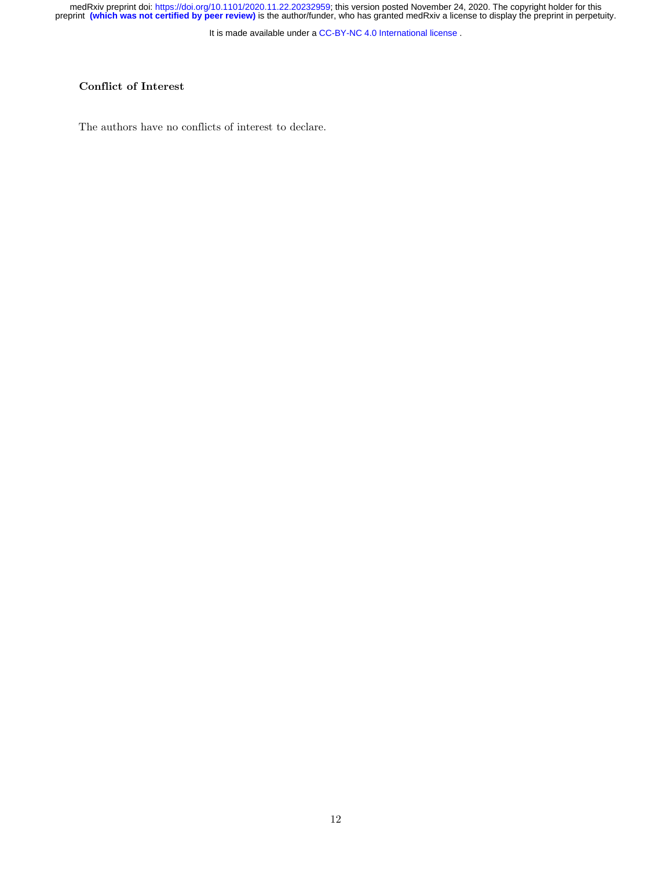It is made available under a [CC-BY-NC 4.0 International license](http://creativecommons.org/licenses/by-nc/4.0/) .

# Conflict of Interest

The authors have no conflicts of interest to declare.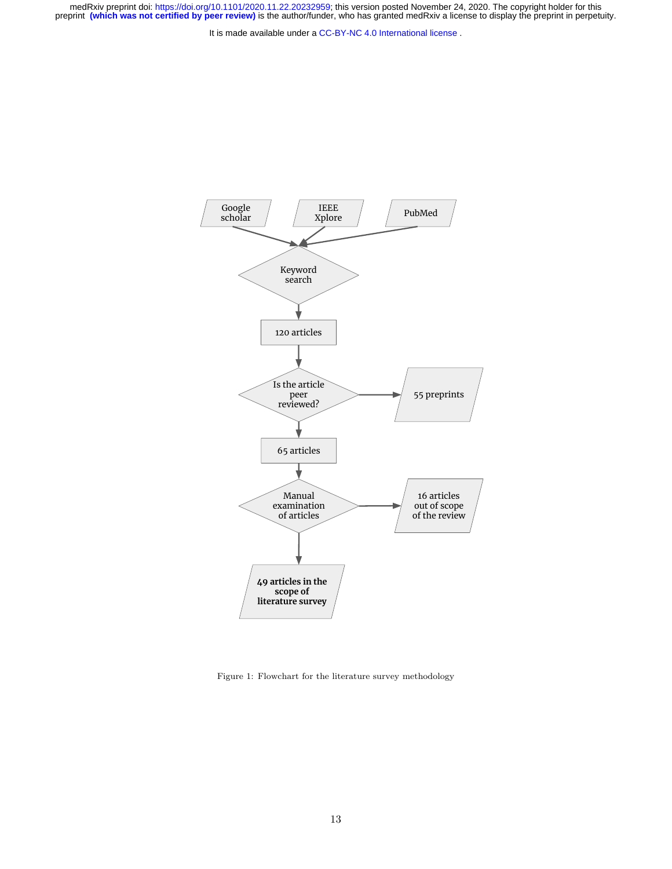<span id="page-12-0"></span>

Figure 1: Flowchart for the literature survey methodology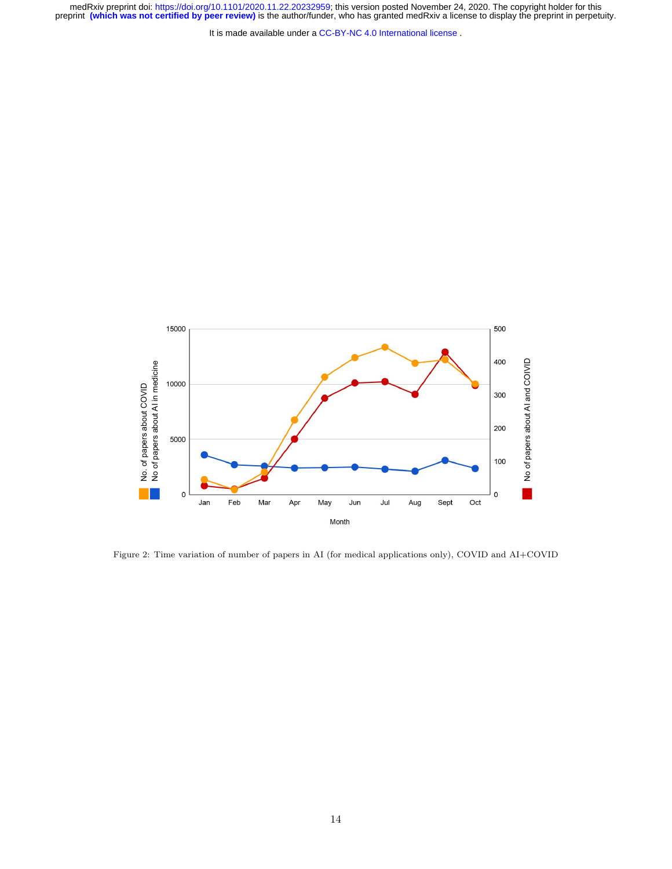It is made available under a [CC-BY-NC 4.0 International license](http://creativecommons.org/licenses/by-nc/4.0/) .

medRxiv preprint doi: [https://doi.org/10.1101/2020.11.22.20232959;](https://doi.org/10.1101/2020.11.22.20232959) this version posted November 24, 2020. The copyright holder for this<br>preprint (which was not certified by peer review) is the author/funder, who has grante

<span id="page-13-0"></span>

Figure 2: Time variation of number of papers in AI (for medical applications only), COVID and AI+COVID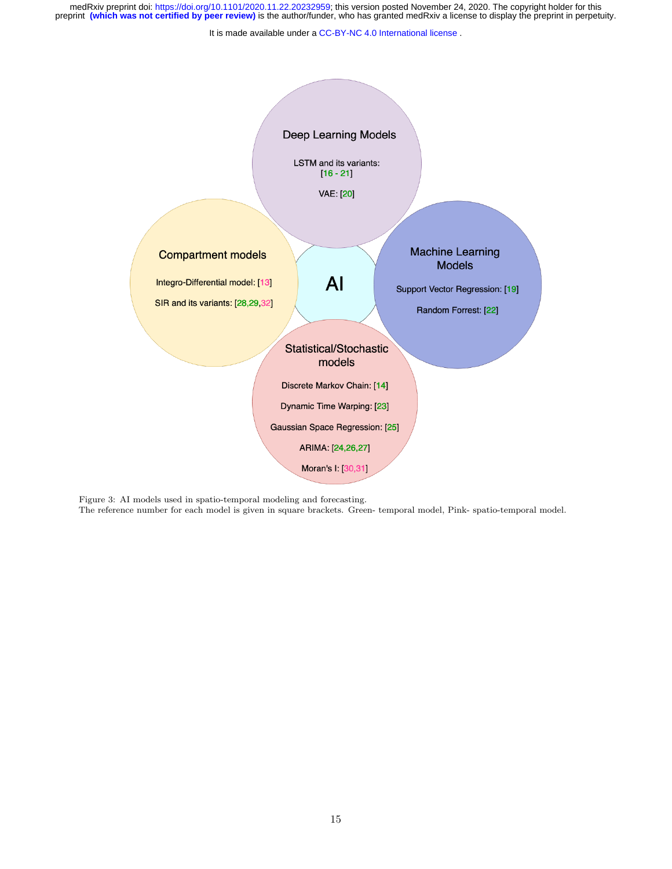It is made available under a [CC-BY-NC 4.0 International license](http://creativecommons.org/licenses/by-nc/4.0/) .

<span id="page-14-0"></span>

Figure 3: AI models used in spatio-temporal modeling and forecasting.

The reference number for each model is given in square brackets. Green- temporal model, Pink- spatio-temporal model.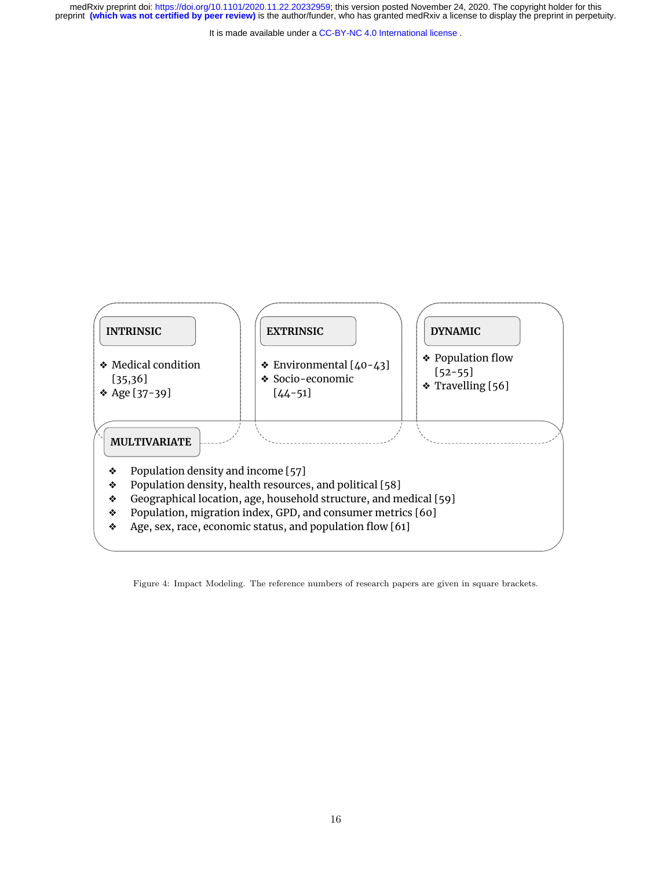<span id="page-15-0"></span>

Figure 4: Impact Modeling. The reference numbers of research papers are given in square brackets.

It is made available under a [CC-BY-NC 4.0 International license](http://creativecommons.org/licenses/by-nc/4.0/) . medRxiv preprint doi: [https://doi.org/10.1101/2020.11.22.20232959;](https://doi.org/10.1101/2020.11.22.20232959) this version posted November 24, 2020. The copyright holder for this<br>preprint (which was not certified by peer review) is the author/funder, who has grante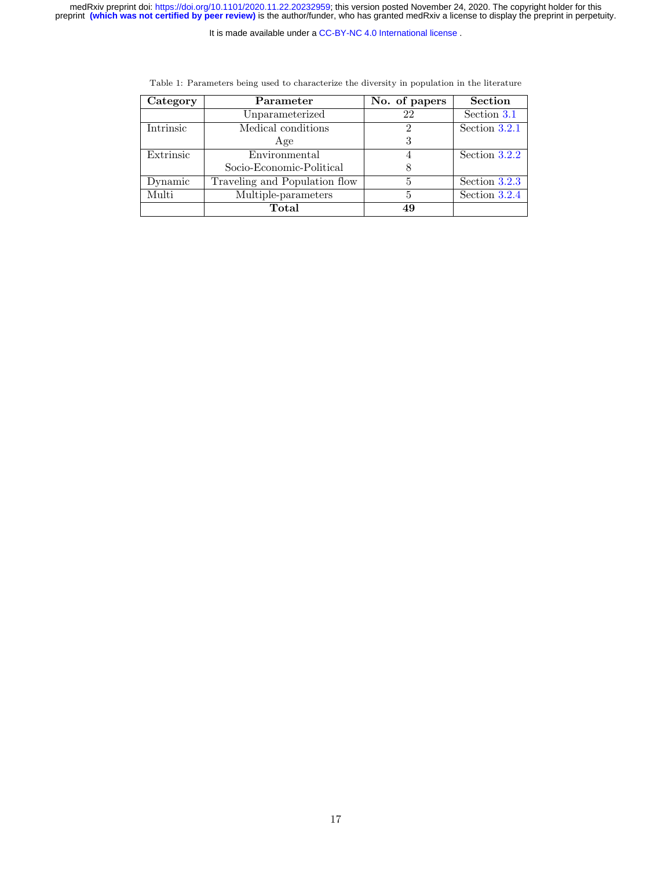It is made available under a [CC-BY-NC 4.0 International license](http://creativecommons.org/licenses/by-nc/4.0/) .

<span id="page-16-0"></span>

| Category  | Parameter                     | No. of papers | <b>Section</b>  |
|-----------|-------------------------------|---------------|-----------------|
|           | Unparameterized               | 22            | Section 3.1     |
| Intrinsic | Medical conditions            | 2             | Section 3.2.1   |
|           | Age                           |               |                 |
| Extrinsic | Environmental                 |               | Section $3.2.2$ |
|           | Socio-Economic-Political      |               |                 |
| Dynamic   | Traveling and Population flow | 5             | Section 3.2.3   |
| Multi     | Multiple-parameters           | 5             | Section 3.2.4   |
|           | Total                         | 49            |                 |

Table 1: Parameters being used to characterize the diversity in population in the literature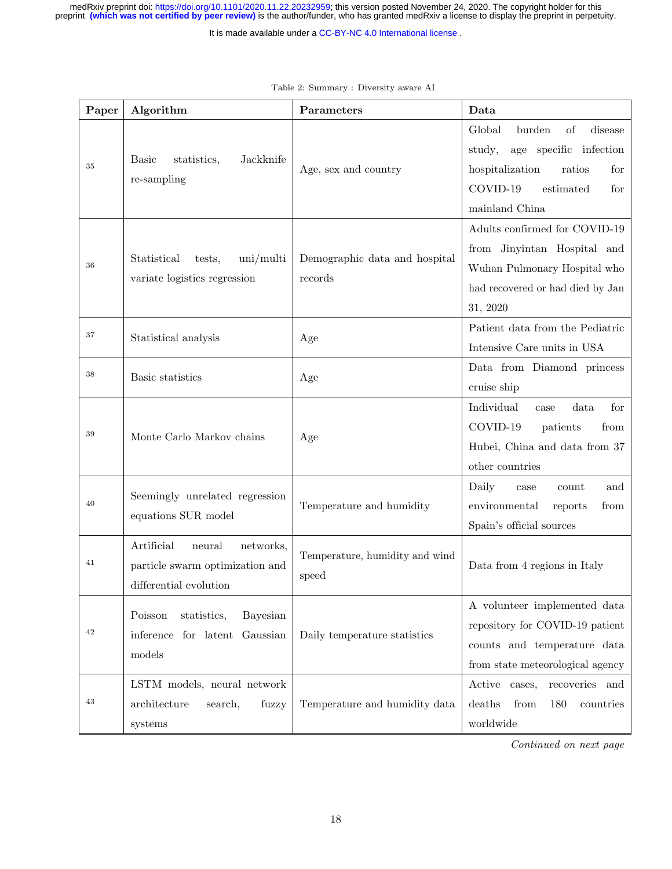It is made available under a [CC-BY-NC 4.0 International license](http://creativecommons.org/licenses/by-nc/4.0/) .

<span id="page-17-0"></span>

| Paper | Algorithm                                                                                      | Parameters                               | Data                                                                                                                                                        |
|-------|------------------------------------------------------------------------------------------------|------------------------------------------|-------------------------------------------------------------------------------------------------------------------------------------------------------------|
| 35    | Jackknife<br>statistics,<br><b>Basic</b><br>re-sampling                                        | Age, sex and country                     | Global<br>burden<br>of<br>disease<br>age specific infection<br>study,<br>hospitalization<br>ratios<br>for<br>COVID-19<br>estimated<br>for<br>mainland China |
| 36    | $\text{uni/multi}$<br>Statistical<br>tests,<br>variate logistics regression                    | Demographic data and hospital<br>records | Adults confirmed for COVID-19<br>from Jinyintan Hospital and<br>Wuhan Pulmonary Hospital who<br>had recovered or had died by Jan<br>31, 2020                |
| 37    | Statistical analysis                                                                           | Age                                      | Patient data from the Pediatric<br>Intensive Care units in USA                                                                                              |
| 38    | Basic statistics                                                                               | Age                                      | Data from Diamond princess<br>cruise ship                                                                                                                   |
| 39    | Monte Carlo Markov chains                                                                      | Age                                      | Individual<br>for<br>data.<br>case<br>COVID-19<br>patients<br>from<br>Hubei, China and data from 37<br>other countries                                      |
| 40    | Seemingly unrelated regression<br>equations SUR model                                          | Temperature and humidity                 | Daily<br>and<br>case<br>count<br>environmental<br>reports<br>from<br>Spain's official sources                                                               |
| 41    | Artificial<br>neural<br>networks,<br>particle swarm optimization and<br>differential evolution | Temperature, humidity and wind<br>speed  | Data from 4 regions in Italy                                                                                                                                |
| 42    | Bayesian<br>Poisson<br>statistics,<br>inference<br>for latent Gaussian<br>$_{\rm models}$      | Daily temperature statistics             | A volunteer implemented data<br>repository for COVID-19 patient<br>counts and temperature data<br>from state meteorological agency                          |
| 43    | LSTM models, neural network<br>architecture<br>search,<br>fuzzy<br>systems                     | Temperature and humidity data            | Active cases,<br>recoveries and<br>deaths<br>from<br>180<br>countries<br>worldwide                                                                          |

#### Table 2: Summary : Diversity aware AI

Continued on next page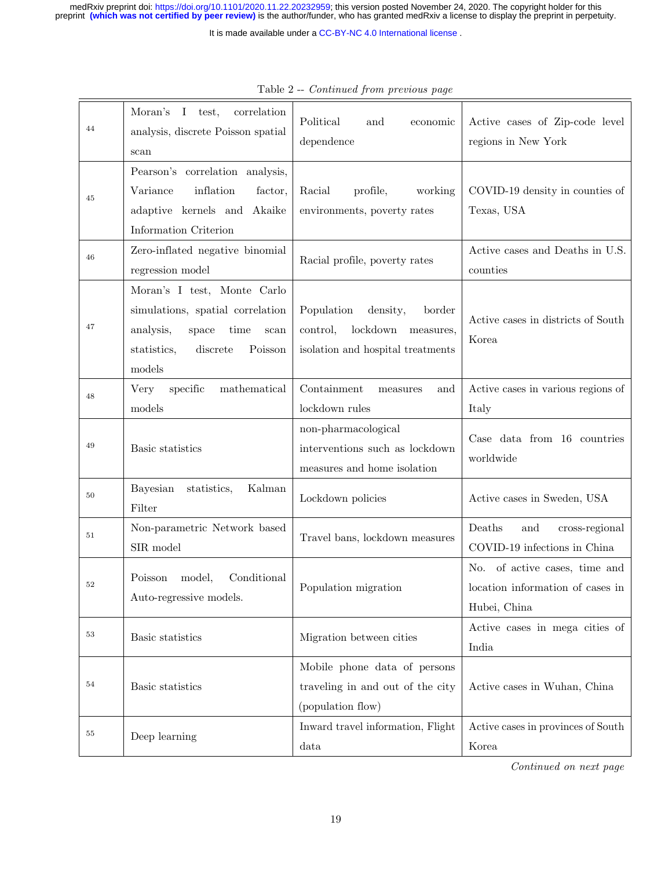It is made available under a [CC-BY-NC 4.0 International license](http://creativecommons.org/licenses/by-nc/4.0/) .

| 44 | Moran's<br>I test,<br>correlation<br>analysis, discrete Poisson spatial<br>scan                                                                       | Political<br>and<br>economic<br>dependence                                                                 | Active cases of Zip-code level<br>regions in New York                             |
|----|-------------------------------------------------------------------------------------------------------------------------------------------------------|------------------------------------------------------------------------------------------------------------|-----------------------------------------------------------------------------------|
| 45 | Pearson's correlation analysis,<br>Variance<br>inflation<br>factor,<br>adaptive kernels and Akaike<br>Information Criterion                           | Racial<br>profile,<br>working<br>environments, poverty rates                                               | COVID-19 density in counties of<br>Texas, USA                                     |
| 46 | Zero-inflated negative binomial<br>regression model                                                                                                   | Racial profile, poverty rates                                                                              | Active cases and Deaths in U.S.<br>counties                                       |
| 47 | Moran's I test, Monte Carlo<br>simulations, spatial correlation<br>analysis,<br>time<br>space<br>scan<br>statistics,<br>discrete<br>Poisson<br>models | Population<br>density,<br>border<br>lockdown<br>control,<br>measures,<br>isolation and hospital treatments | Active cases in districts of South<br>Korea                                       |
| 48 | specific<br>Very<br>mathematical<br>models                                                                                                            | Containment<br>and<br>measures<br>lockdown rules                                                           | Active cases in various regions of<br>Italy                                       |
| 49 | Basic statistics                                                                                                                                      | non-pharmacological<br>interventions such as lockdown<br>measures and home isolation                       | Case data from 16 countries<br>worldwide                                          |
| 50 | Bayesian<br>Kalman<br>statistics,<br>Filter                                                                                                           | Lockdown policies                                                                                          | Active cases in Sweden, USA                                                       |
| 51 | Non-parametric Network based<br>SIR model                                                                                                             | Travel bans, lockdown measures                                                                             | Deaths<br>and<br>cross-regional<br>COVID-19 infections in China                   |
| 52 | Conditional<br>Poisson<br>model,<br>Auto-regressive models.                                                                                           | Population migration                                                                                       | No. of active cases, time and<br>location information of cases in<br>Hubei, China |
| 53 | Basic statistics                                                                                                                                      | Migration between cities                                                                                   | Active cases in mega cities of<br>India                                           |
| 54 | Basic statistics                                                                                                                                      | Mobile phone data of persons<br>traveling in and out of the city<br>(population flow)                      | Active cases in Wuhan, China                                                      |
| 55 | Deep learning                                                                                                                                         | Inward travel information, Flight<br>data                                                                  | Active cases in provinces of South<br>Korea                                       |

| Table 2 -- <i>Continued from previous page</i> |  |  |
|------------------------------------------------|--|--|

Continued on next page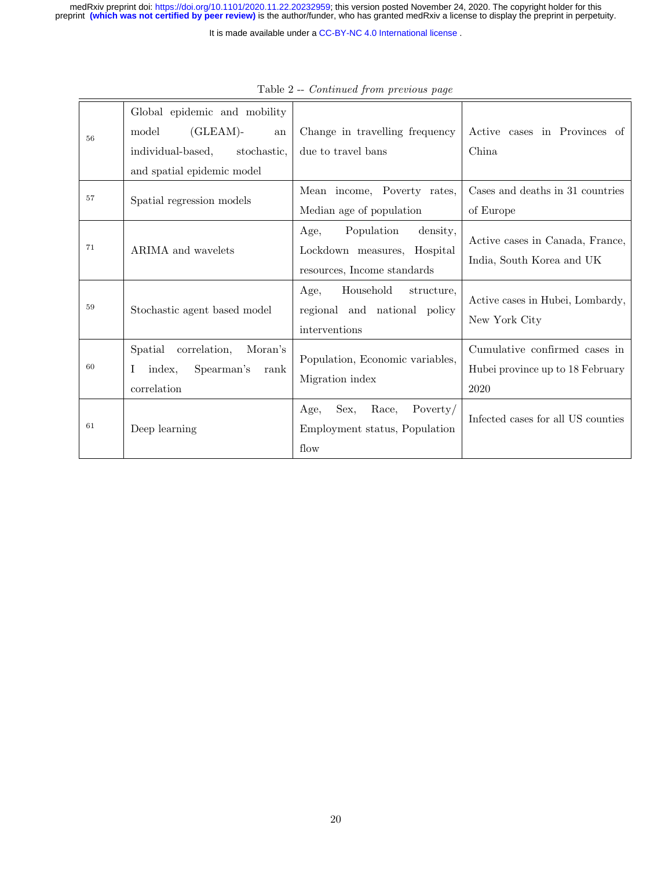|    | Global epidemic and mobility                                                                                          |                                                                                              |                                                                           |
|----|-----------------------------------------------------------------------------------------------------------------------|----------------------------------------------------------------------------------------------|---------------------------------------------------------------------------|
| 56 | $(GLEAM)-$<br>model<br>${\rm an}$                                                                                     | Change in travelling frequency                                                               | Active cases in Provinces of                                              |
|    | individual-based,<br>stochastic,                                                                                      | due to travel bans                                                                           | China                                                                     |
|    | and spatial epidemic model                                                                                            |                                                                                              |                                                                           |
| 57 | Spatial regression models                                                                                             | Mean income, Poverty rates,                                                                  | Cases and deaths in 31 countries                                          |
|    |                                                                                                                       | Median age of population                                                                     | of Europe                                                                 |
| 71 | ARIMA and wavelets                                                                                                    | Age,<br>Population<br>density,<br>Lockdown measures, Hospital<br>resources, Income standards | Active cases in Canada, France,<br>India, South Korea and UK              |
| 59 | Stochastic agent based model                                                                                          | Household<br>structure.<br>Age,<br>regional and national policy<br>interventions             | Active cases in Hubei, Lombardy,<br>New York City                         |
| 60 | Spatial correlation,<br>Moran's<br>Spearman's<br>Ι<br>index.<br>$\operatorname*{rank}% \mathcal{M}(n)$<br>correlation | Population, Economic variables,<br>Migration index                                           | Cumulative confirmed cases in<br>Hubei province up to 18 February<br>2020 |
| 61 | Deep learning                                                                                                         | Sex,<br>Race,<br>Poverty/<br>Age,<br>Employment status, Population<br>flow                   | Infected cases for all US counties                                        |

Table 2 -- Continued from previous page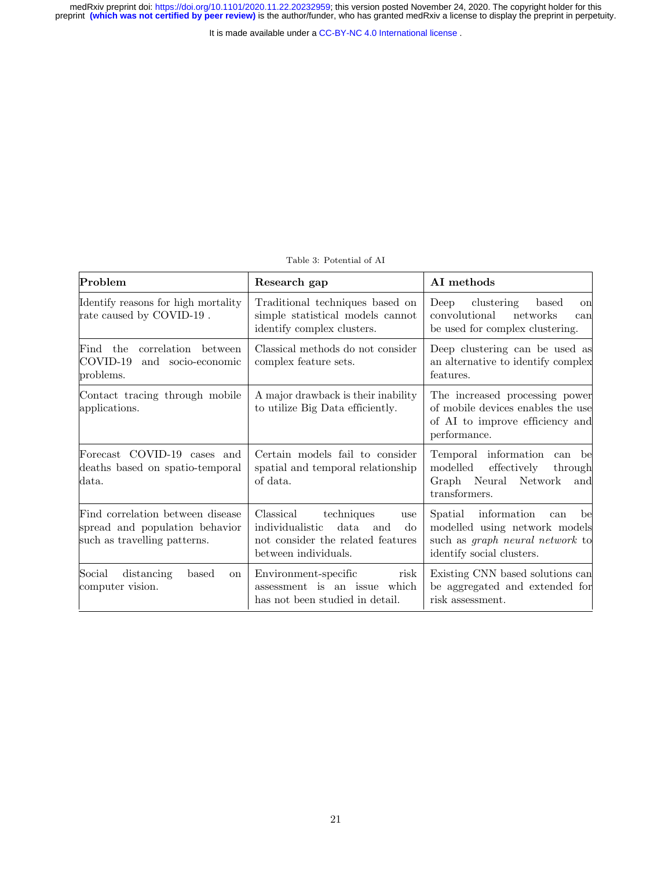| Table 3: Potential of AI |  |  |  |  |
|--------------------------|--|--|--|--|
|--------------------------|--|--|--|--|

<span id="page-20-0"></span>

| Problem                                                                                            | Research gap                                                                                                                        | AI methods                                                                                                                                  |  |
|----------------------------------------------------------------------------------------------------|-------------------------------------------------------------------------------------------------------------------------------------|---------------------------------------------------------------------------------------------------------------------------------------------|--|
| Identify reasons for high mortality<br>rate caused by COVID-19.                                    | Traditional techniques based on<br>simple statistical models cannot<br>identify complex clusters.                                   | clustering<br>Deep<br>based<br><sub>on</sub><br>convolutional<br>networks<br>can<br>be used for complex clustering.                         |  |
| correlation between<br>Find the<br>COVID-19<br>and socio-economic<br>problems.                     | Classical methods do not consider<br>complex feature sets.                                                                          | Deep clustering can be used as<br>an alternative to identify complex<br>features.                                                           |  |
| Contact tracing through mobile<br>applications.                                                    | A major drawback is their inability<br>to utilize Big Data efficiently.                                                             | The increased processing power<br>of mobile devices enables the use<br>of AI to improve efficiency and<br>performance.                      |  |
| Forecast COVID-19 cases and<br>deaths based on spatio-temporal<br>data.                            | Certain models fail to consider<br>spatial and temporal relationship<br>of data.                                                    | Temporal information can<br>be<br>modelled<br>effectively<br>through<br>Graph Neural Network<br>and<br>transformers.                        |  |
| Find correlation between disease<br>spread and population behavior<br>such as travelling patterns. | Classical<br>techniques<br>use<br>individualistic<br>data<br>and<br>do<br>not consider the related features<br>between individuals. | information<br>Spatial<br>be<br>can<br>modelled using network models<br>such as <i>graph</i> neural network to<br>identify social clusters. |  |
| Social<br>distancing<br>based<br><sub>on</sub><br>computer vision.                                 | Environment-specific<br>risk<br>assessment is an issue which<br>has not been studied in detail.                                     | Existing CNN based solutions can<br>be aggregated and extended for<br>risk assessment.                                                      |  |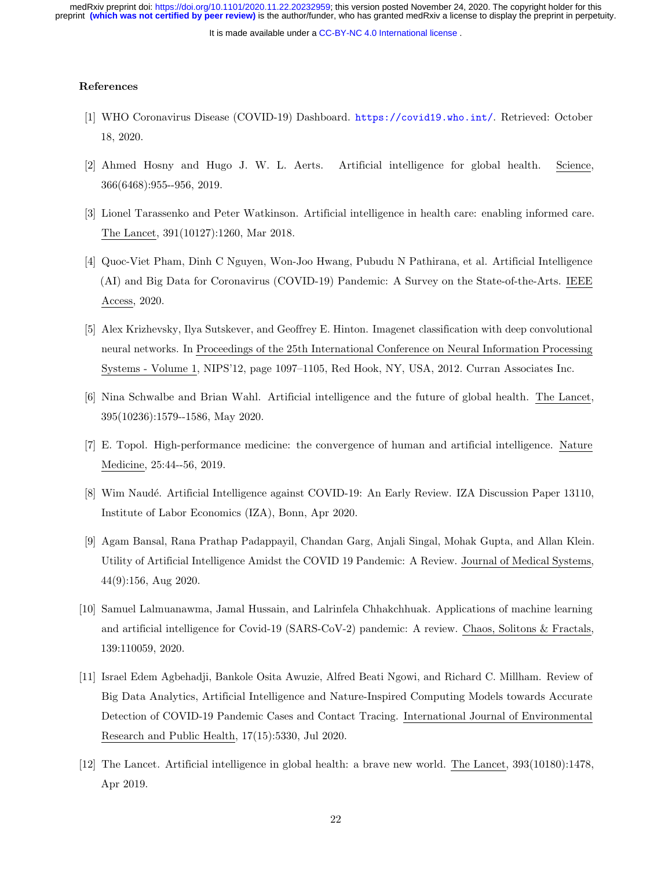It is made available under a [CC-BY-NC 4.0 International license](http://creativecommons.org/licenses/by-nc/4.0/) .

## References

- [1] WHO Coronavirus Disease (COVID-19) Dashboard. <https://covid19.who.int/>. Retrieved: October 18, 2020.
- [2] Ahmed Hosny and Hugo J. W. L. Aerts. Artificial intelligence for global health. Science, 366(6468):955--956, 2019.
- [3] Lionel Tarassenko and Peter Watkinson. Artificial intelligence in health care: enabling informed care. The Lancet, 391(10127):1260, Mar 2018.
- [4] Quoc-Viet Pham, Dinh C Nguyen, Won-Joo Hwang, Pubudu N Pathirana, et al. Artificial Intelligence (AI) and Big Data for Coronavirus (COVID-19) Pandemic: A Survey on the State-of-the-Arts. IEEE Access, 2020.
- [5] Alex Krizhevsky, Ilya Sutskever, and Geoffrey E. Hinton. Imagenet classification with deep convolutional neural networks. In Proceedings of the 25th International Conference on Neural Information Processing Systems - Volume 1, NIPS'12, page 1097–1105, Red Hook, NY, USA, 2012. Curran Associates Inc.
- [6] Nina Schwalbe and Brian Wahl. Artificial intelligence and the future of global health. The Lancet, 395(10236):1579--1586, May 2020.
- [7] E. Topol. High-performance medicine: the convergence of human and artificial intelligence. Nature Medicine, 25:44--56, 2019.
- [8] Wim Naudé. Artificial Intelligence against COVID-19: An Early Review. IZA Discussion Paper 13110, Institute of Labor Economics (IZA), Bonn, Apr 2020.
- [9] Agam Bansal, Rana Prathap Padappayil, Chandan Garg, Anjali Singal, Mohak Gupta, and Allan Klein. Utility of Artificial Intelligence Amidst the COVID 19 Pandemic: A Review. Journal of Medical Systems, 44(9):156, Aug 2020.
- [10] Samuel Lalmuanawma, Jamal Hussain, and Lalrinfela Chhakchhuak. Applications of machine learning and artificial intelligence for Covid-19 (SARS-CoV-2) pandemic: A review. Chaos, Solitons & Fractals, 139:110059, 2020.
- [11] Israel Edem Agbehadji, Bankole Osita Awuzie, Alfred Beati Ngowi, and Richard C. Millham. Review of Big Data Analytics, Artificial Intelligence and Nature-Inspired Computing Models towards Accurate Detection of COVID-19 Pandemic Cases and Contact Tracing. International Journal of Environmental Research and Public Health, 17(15):5330, Jul 2020.
- [12] The Lancet. Artificial intelligence in global health: a brave new world. The Lancet, 393(10180):1478, Apr 2019.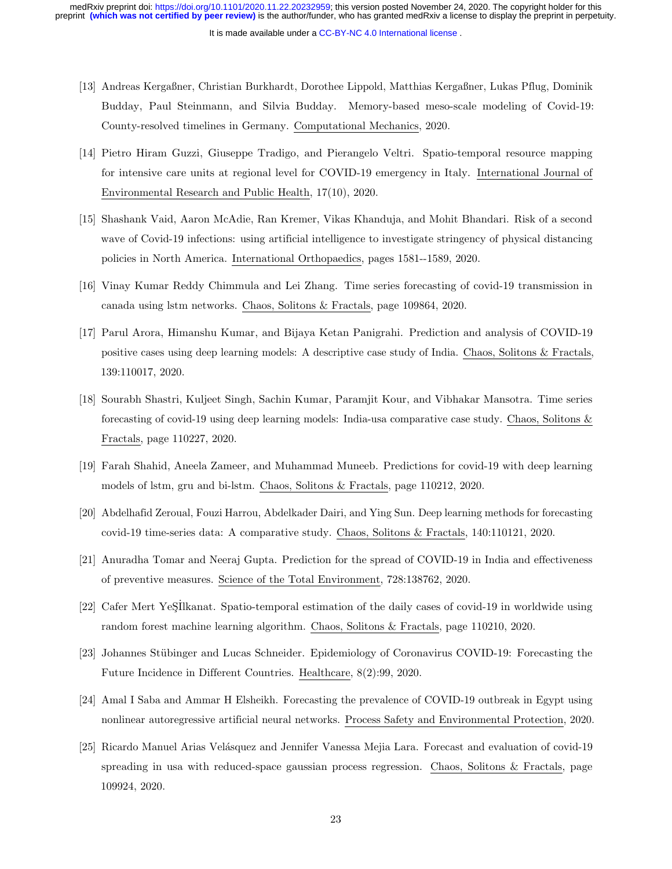- [13] Andreas Kergaßner, Christian Burkhardt, Dorothee Lippold, Matthias Kergaßner, Lukas Pflug, Dominik Budday, Paul Steinmann, and Silvia Budday. Memory-based meso-scale modeling of Covid-19: County-resolved timelines in Germany. Computational Mechanics, 2020.
- [14] Pietro Hiram Guzzi, Giuseppe Tradigo, and Pierangelo Veltri. Spatio-temporal resource mapping for intensive care units at regional level for COVID-19 emergency in Italy. International Journal of Environmental Research and Public Health, 17(10), 2020.
- [15] Shashank Vaid, Aaron McAdie, Ran Kremer, Vikas Khanduja, and Mohit Bhandari. Risk of a second wave of Covid-19 infections: using artificial intelligence to investigate stringency of physical distancing policies in North America. International Orthopaedics, pages 1581--1589, 2020.
- [16] Vinay Kumar Reddy Chimmula and Lei Zhang. Time series forecasting of covid-19 transmission in canada using lstm networks. Chaos, Solitons & Fractals, page 109864, 2020.
- [17] Parul Arora, Himanshu Kumar, and Bijaya Ketan Panigrahi. Prediction and analysis of COVID-19 positive cases using deep learning models: A descriptive case study of India. Chaos, Solitons & Fractals, 139:110017, 2020.
- [18] Sourabh Shastri, Kuljeet Singh, Sachin Kumar, Paramjit Kour, and Vibhakar Mansotra. Time series forecasting of covid-19 using deep learning models: India-usa comparative case study. Chaos, Solitons & Fractals, page 110227, 2020.
- [19] Farah Shahid, Aneela Zameer, and Muhammad Muneeb. Predictions for covid-19 with deep learning models of lstm, gru and bi-lstm. Chaos, Solitons & Fractals, page 110212, 2020.
- [20] Abdelhafid Zeroual, Fouzi Harrou, Abdelkader Dairi, and Ying Sun. Deep learning methods for forecasting covid-19 time-series data: A comparative study. Chaos, Solitons & Fractals, 140:110121, 2020.
- [21] Anuradha Tomar and Neeraj Gupta. Prediction for the spread of COVID-19 in India and effectiveness of preventive measures. Science of the Total Environment, 728:138762, 2020.
- [22] Cafer Mert YeSIlkanat. Spatio-temporal estimation of the daily cases of covid-19 in worldwide using random forest machine learning algorithm. Chaos, Solitons & Fractals, page 110210, 2020.
- [23] Johannes Stübinger and Lucas Schneider. Epidemiology of Coronavirus COVID-19: Forecasting the Future Incidence in Different Countries. Healthcare, 8(2):99, 2020.
- [24] Amal I Saba and Ammar H Elsheikh. Forecasting the prevalence of COVID-19 outbreak in Egypt using nonlinear autoregressive artificial neural networks. Process Safety and Environmental Protection, 2020.
- [25] Ricardo Manuel Arias Velásquez and Jennifer Vanessa Mejia Lara. Forecast and evaluation of covid-19 spreading in usa with reduced-space gaussian process regression. Chaos, Solitons & Fractals, page 109924, 2020.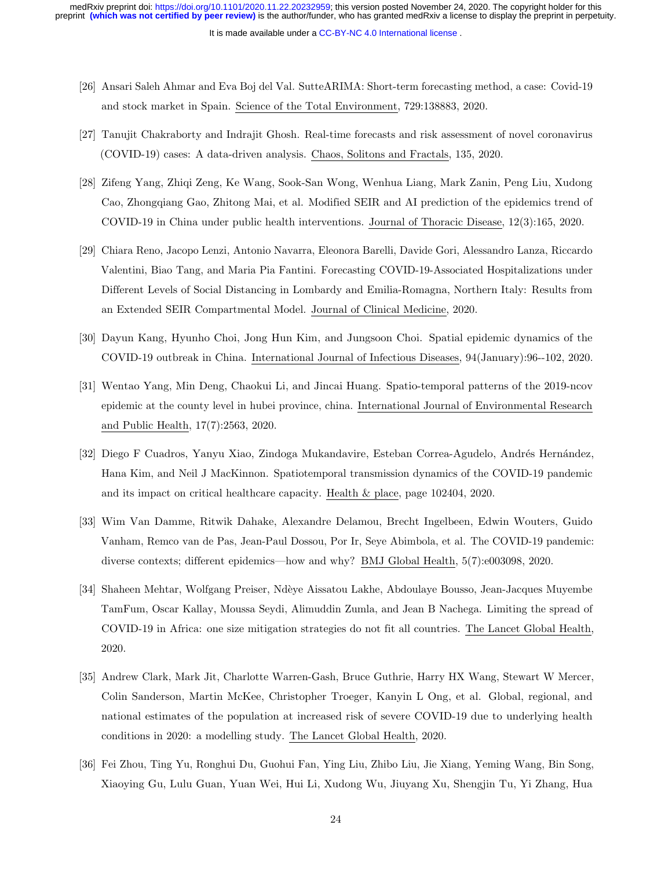It is made available under a [CC-BY-NC 4.0 International license](http://creativecommons.org/licenses/by-nc/4.0/) . preprint **(which was not certified by peer review)** is the author/funder, who has granted medRxiv a license to display the preprint in perpetuity. medRxiv preprint doi: [https://doi.org/10.1101/2020.11.22.20232959;](https://doi.org/10.1101/2020.11.22.20232959) this version posted November 24, 2020. The copyright holder for this

- [26] Ansari Saleh Ahmar and Eva Boj del Val. SutteARIMA: Short-term forecasting method, a case: Covid-19 and stock market in Spain. Science of the Total Environment, 729:138883, 2020.
- [27] Tanujit Chakraborty and Indrajit Ghosh. Real-time forecasts and risk assessment of novel coronavirus (COVID-19) cases: A data-driven analysis. Chaos, Solitons and Fractals, 135, 2020.
- [28] Zifeng Yang, Zhiqi Zeng, Ke Wang, Sook-San Wong, Wenhua Liang, Mark Zanin, Peng Liu, Xudong Cao, Zhongqiang Gao, Zhitong Mai, et al. Modified SEIR and AI prediction of the epidemics trend of COVID-19 in China under public health interventions. Journal of Thoracic Disease, 12(3):165, 2020.
- [29] Chiara Reno, Jacopo Lenzi, Antonio Navarra, Eleonora Barelli, Davide Gori, Alessandro Lanza, Riccardo Valentini, Biao Tang, and Maria Pia Fantini. Forecasting COVID-19-Associated Hospitalizations under Different Levels of Social Distancing in Lombardy and Emilia-Romagna, Northern Italy: Results from an Extended SEIR Compartmental Model. Journal of Clinical Medicine, 2020.
- [30] Dayun Kang, Hyunho Choi, Jong Hun Kim, and Jungsoon Choi. Spatial epidemic dynamics of the COVID-19 outbreak in China. International Journal of Infectious Diseases, 94(January):96--102, 2020.
- [31] Wentao Yang, Min Deng, Chaokui Li, and Jincai Huang. Spatio-temporal patterns of the 2019-ncov epidemic at the county level in hubei province, china. International Journal of Environmental Research and Public Health, 17(7):2563, 2020.
- [32] Diego F Cuadros, Yanyu Xiao, Zindoga Mukandavire, Esteban Correa-Agudelo, Andr´es Hern´andez, Hana Kim, and Neil J MacKinnon. Spatiotemporal transmission dynamics of the COVID-19 pandemic and its impact on critical healthcare capacity. Health & place, page 102404, 2020.
- [33] Wim Van Damme, Ritwik Dahake, Alexandre Delamou, Brecht Ingelbeen, Edwin Wouters, Guido Vanham, Remco van de Pas, Jean-Paul Dossou, Por Ir, Seye Abimbola, et al. The COVID-19 pandemic: diverse contexts; different epidemics—how and why? BMJ Global Health, 5(7):e003098, 2020.
- [34] Shaheen Mehtar, Wolfgang Preiser, Nd`eye Aissatou Lakhe, Abdoulaye Bousso, Jean-Jacques Muyembe TamFum, Oscar Kallay, Moussa Seydi, Alimuddin Zumla, and Jean B Nachega. Limiting the spread of COVID-19 in Africa: one size mitigation strategies do not fit all countries. The Lancet Global Health, 2020.
- [35] Andrew Clark, Mark Jit, Charlotte Warren-Gash, Bruce Guthrie, Harry HX Wang, Stewart W Mercer, Colin Sanderson, Martin McKee, Christopher Troeger, Kanyin L Ong, et al. Global, regional, and national estimates of the population at increased risk of severe COVID-19 due to underlying health conditions in 2020: a modelling study. The Lancet Global Health, 2020.
- [36] Fei Zhou, Ting Yu, Ronghui Du, Guohui Fan, Ying Liu, Zhibo Liu, Jie Xiang, Yeming Wang, Bin Song, Xiaoying Gu, Lulu Guan, Yuan Wei, Hui Li, Xudong Wu, Jiuyang Xu, Shengjin Tu, Yi Zhang, Hua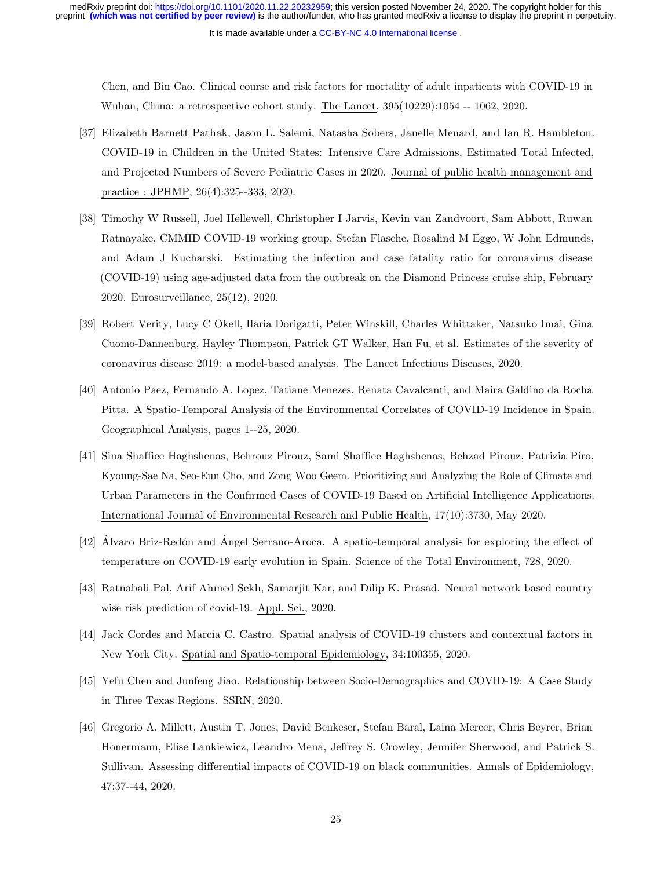It is made available under a [CC-BY-NC 4.0 International license](http://creativecommons.org/licenses/by-nc/4.0/) .

Chen, and Bin Cao. Clinical course and risk factors for mortality of adult inpatients with COVID-19 in Wuhan, China: a retrospective cohort study. The Lancet, 395(10229):1054 -- 1062, 2020.

- [37] Elizabeth Barnett Pathak, Jason L. Salemi, Natasha Sobers, Janelle Menard, and Ian R. Hambleton. COVID-19 in Children in the United States: Intensive Care Admissions, Estimated Total Infected, and Projected Numbers of Severe Pediatric Cases in 2020. Journal of public health management and practice : JPHMP, 26(4):325--333, 2020.
- [38] Timothy W Russell, Joel Hellewell, Christopher I Jarvis, Kevin van Zandvoort, Sam Abbott, Ruwan Ratnayake, CMMID COVID-19 working group, Stefan Flasche, Rosalind M Eggo, W John Edmunds, and Adam J Kucharski. Estimating the infection and case fatality ratio for coronavirus disease (COVID-19) using age-adjusted data from the outbreak on the Diamond Princess cruise ship, February 2020. Eurosurveillance, 25(12), 2020.
- [39] Robert Verity, Lucy C Okell, Ilaria Dorigatti, Peter Winskill, Charles Whittaker, Natsuko Imai, Gina Cuomo-Dannenburg, Hayley Thompson, Patrick GT Walker, Han Fu, et al. Estimates of the severity of coronavirus disease 2019: a model-based analysis. The Lancet Infectious Diseases, 2020.
- [40] Antonio Paez, Fernando A. Lopez, Tatiane Menezes, Renata Cavalcanti, and Maira Galdino da Rocha Pitta. A Spatio-Temporal Analysis of the Environmental Correlates of COVID-19 Incidence in Spain. Geographical Analysis, pages 1--25, 2020.
- [41] Sina Shaffiee Haghshenas, Behrouz Pirouz, Sami Shaffiee Haghshenas, Behzad Pirouz, Patrizia Piro, Kyoung-Sae Na, Seo-Eun Cho, and Zong Woo Geem. Prioritizing and Analyzing the Role of Climate and Urban Parameters in the Confirmed Cases of COVID-19 Based on Artificial Intelligence Applications. International Journal of Environmental Research and Public Health, 17(10):3730, May 2020.
- [42] Álvaro Briz-Redón and Ángel Serrano-Aroca. A spatio-temporal analysis for exploring the effect of temperature on COVID-19 early evolution in Spain. Science of the Total Environment, 728, 2020.
- [43] Ratnabali Pal, Arif Ahmed Sekh, Samarjit Kar, and Dilip K. Prasad. Neural network based country wise risk prediction of covid-19. Appl. Sci., 2020.
- [44] Jack Cordes and Marcia C. Castro. Spatial analysis of COVID-19 clusters and contextual factors in New York City. Spatial and Spatio-temporal Epidemiology, 34:100355, 2020.
- [45] Yefu Chen and Junfeng Jiao. Relationship between Socio-Demographics and COVID-19: A Case Study in Three Texas Regions. SSRN, 2020.
- [46] Gregorio A. Millett, Austin T. Jones, David Benkeser, Stefan Baral, Laina Mercer, Chris Beyrer, Brian Honermann, Elise Lankiewicz, Leandro Mena, Jeffrey S. Crowley, Jennifer Sherwood, and Patrick S. Sullivan. Assessing differential impacts of COVID-19 on black communities. Annals of Epidemiology, 47:37--44, 2020.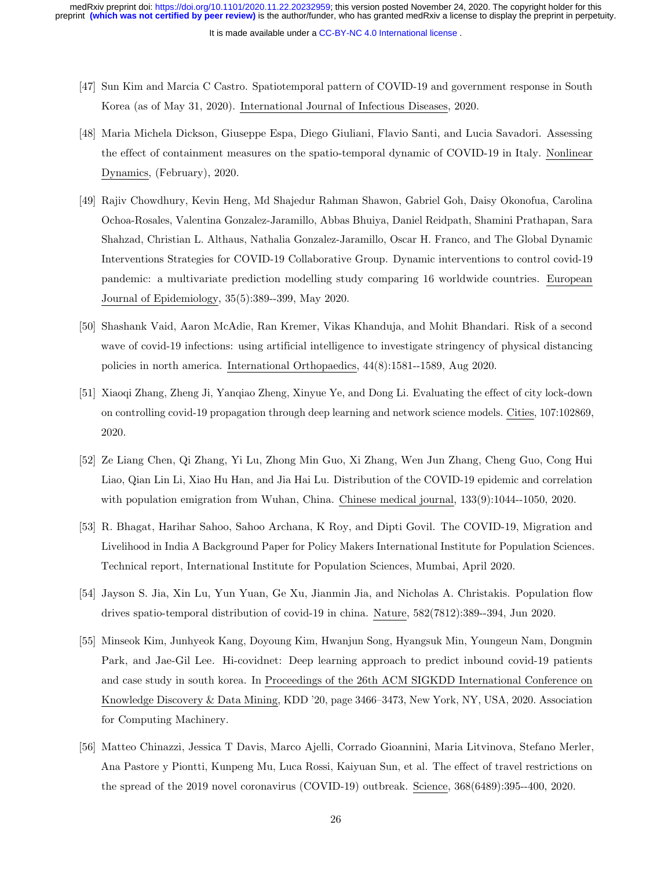- [47] Sun Kim and Marcia C Castro. Spatiotemporal pattern of COVID-19 and government response in South Korea (as of May 31, 2020). International Journal of Infectious Diseases, 2020.
- [48] Maria Michela Dickson, Giuseppe Espa, Diego Giuliani, Flavio Santi, and Lucia Savadori. Assessing the effect of containment measures on the spatio-temporal dynamic of COVID-19 in Italy. Nonlinear Dynamics, (February), 2020.
- [49] Rajiv Chowdhury, Kevin Heng, Md Shajedur Rahman Shawon, Gabriel Goh, Daisy Okonofua, Carolina Ochoa-Rosales, Valentina Gonzalez-Jaramillo, Abbas Bhuiya, Daniel Reidpath, Shamini Prathapan, Sara Shahzad, Christian L. Althaus, Nathalia Gonzalez-Jaramillo, Oscar H. Franco, and The Global Dynamic Interventions Strategies for COVID-19 Collaborative Group. Dynamic interventions to control covid-19 pandemic: a multivariate prediction modelling study comparing 16 worldwide countries. European Journal of Epidemiology, 35(5):389--399, May 2020.
- [50] Shashank Vaid, Aaron McAdie, Ran Kremer, Vikas Khanduja, and Mohit Bhandari. Risk of a second wave of covid-19 infections: using artificial intelligence to investigate stringency of physical distancing policies in north america. International Orthopaedics, 44(8):1581--1589, Aug 2020.
- [51] Xiaoqi Zhang, Zheng Ji, Yanqiao Zheng, Xinyue Ye, and Dong Li. Evaluating the effect of city lock-down on controlling covid-19 propagation through deep learning and network science models. Cities, 107:102869, 2020.
- [52] Ze Liang Chen, Qi Zhang, Yi Lu, Zhong Min Guo, Xi Zhang, Wen Jun Zhang, Cheng Guo, Cong Hui Liao, Qian Lin Li, Xiao Hu Han, and Jia Hai Lu. Distribution of the COVID-19 epidemic and correlation with population emigration from Wuhan, China. Chinese medical journal, 133(9):1044--1050, 2020.
- [53] R. Bhagat, Harihar Sahoo, Sahoo Archana, K Roy, and Dipti Govil. The COVID-19, Migration and Livelihood in India A Background Paper for Policy Makers International Institute for Population Sciences. Technical report, International Institute for Population Sciences, Mumbai, April 2020.
- [54] Jayson S. Jia, Xin Lu, Yun Yuan, Ge Xu, Jianmin Jia, and Nicholas A. Christakis. Population flow drives spatio-temporal distribution of covid-19 in china. Nature, 582(7812):389--394, Jun 2020.
- [55] Minseok Kim, Junhyeok Kang, Doyoung Kim, Hwanjun Song, Hyangsuk Min, Youngeun Nam, Dongmin Park, and Jae-Gil Lee. Hi-covidnet: Deep learning approach to predict inbound covid-19 patients and case study in south korea. In Proceedings of the 26th ACM SIGKDD International Conference on Knowledge Discovery & Data Mining, KDD '20, page 3466–3473, New York, NY, USA, 2020. Association for Computing Machinery.
- [56] Matteo Chinazzi, Jessica T Davis, Marco Ajelli, Corrado Gioannini, Maria Litvinova, Stefano Merler, Ana Pastore y Piontti, Kunpeng Mu, Luca Rossi, Kaiyuan Sun, et al. The effect of travel restrictions on the spread of the 2019 novel coronavirus (COVID-19) outbreak. Science, 368(6489):395--400, 2020.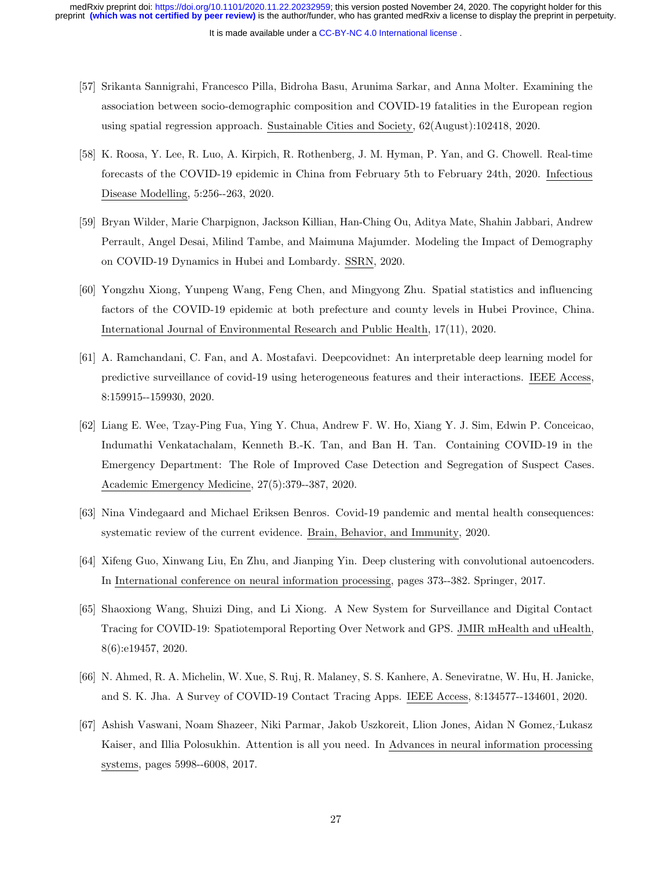- [57] Srikanta Sannigrahi, Francesco Pilla, Bidroha Basu, Arunima Sarkar, and Anna Molter. Examining the association between socio-demographic composition and COVID-19 fatalities in the European region using spatial regression approach. Sustainable Cities and Society, 62(August):102418, 2020.
- [58] K. Roosa, Y. Lee, R. Luo, A. Kirpich, R. Rothenberg, J. M. Hyman, P. Yan, and G. Chowell. Real-time forecasts of the COVID-19 epidemic in China from February 5th to February 24th, 2020. Infectious Disease Modelling, 5:256--263, 2020.
- [59] Bryan Wilder, Marie Charpignon, Jackson Killian, Han-Ching Ou, Aditya Mate, Shahin Jabbari, Andrew Perrault, Angel Desai, Milind Tambe, and Maimuna Majumder. Modeling the Impact of Demography on COVID-19 Dynamics in Hubei and Lombardy. SSRN, 2020.
- [60] Yongzhu Xiong, Yunpeng Wang, Feng Chen, and Mingyong Zhu. Spatial statistics and influencing factors of the COVID-19 epidemic at both prefecture and county levels in Hubei Province, China. International Journal of Environmental Research and Public Health, 17(11), 2020.
- [61] A. Ramchandani, C. Fan, and A. Mostafavi. Deepcovidnet: An interpretable deep learning model for predictive surveillance of covid-19 using heterogeneous features and their interactions. IEEE Access, 8:159915--159930, 2020.
- [62] Liang E. Wee, Tzay-Ping Fua, Ying Y. Chua, Andrew F. W. Ho, Xiang Y. J. Sim, Edwin P. Conceicao, Indumathi Venkatachalam, Kenneth B.-K. Tan, and Ban H. Tan. Containing COVID-19 in the Emergency Department: The Role of Improved Case Detection and Segregation of Suspect Cases. Academic Emergency Medicine, 27(5):379--387, 2020.
- [63] Nina Vindegaard and Michael Eriksen Benros. Covid-19 pandemic and mental health consequences: systematic review of the current evidence. Brain, Behavior, and Immunity, 2020.
- [64] Xifeng Guo, Xinwang Liu, En Zhu, and Jianping Yin. Deep clustering with convolutional autoencoders. In International conference on neural information processing, pages 373--382. Springer, 2017.
- [65] Shaoxiong Wang, Shuizi Ding, and Li Xiong. A New System for Surveillance and Digital Contact Tracing for COVID-19: Spatiotemporal Reporting Over Network and GPS. JMIR mHealth and uHealth, 8(6):e19457, 2020.
- [66] N. Ahmed, R. A. Michelin, W. Xue, S. Ruj, R. Malaney, S. S. Kanhere, A. Seneviratne, W. Hu, H. Janicke, and S. K. Jha. A Survey of COVID-19 Contact Tracing Apps. IEEE Access, 8:134577--134601, 2020.
- [67] Ashish Vaswani, Noam Shazeer, Niki Parmar, Jakob Uszkoreit, Llion Jones, Aidan N Gomez, Lukasz Kaiser, and Illia Polosukhin. Attention is all you need. In Advances in neural information processing systems, pages 5998--6008, 2017.